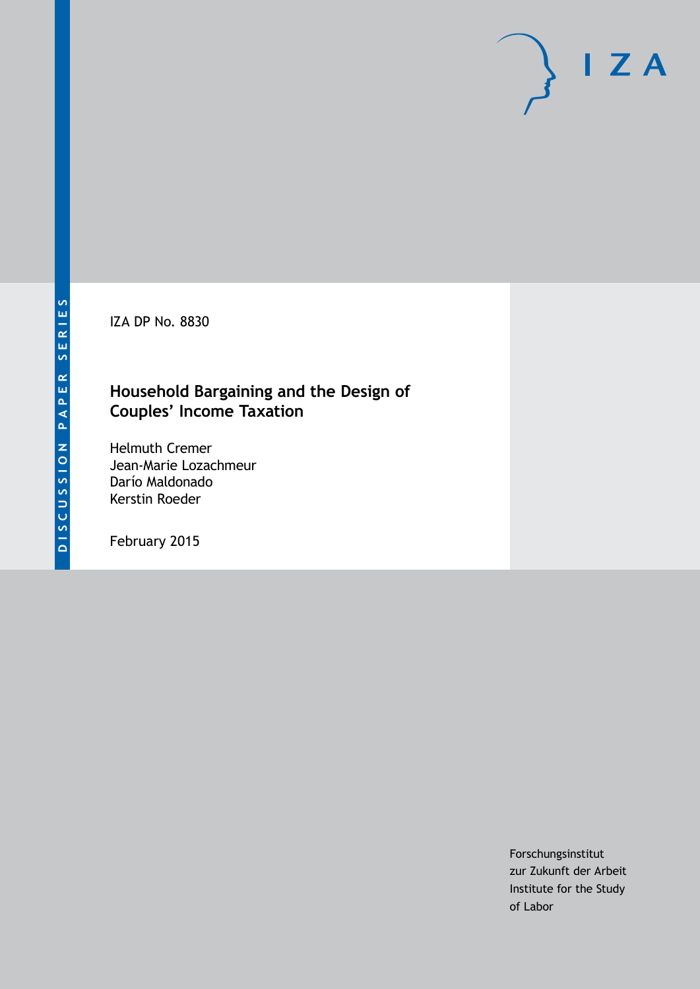IZA DP No. 8830

# **Household Bargaining and the Design of Couples' Income Taxation**

Helmuth Cremer Jean-Marie Lozachmeur Darío Maldonado Kerstin Roeder

February 2015

Forschungsinstitut zur Zukunft der Arbeit Institute for the Study of Labor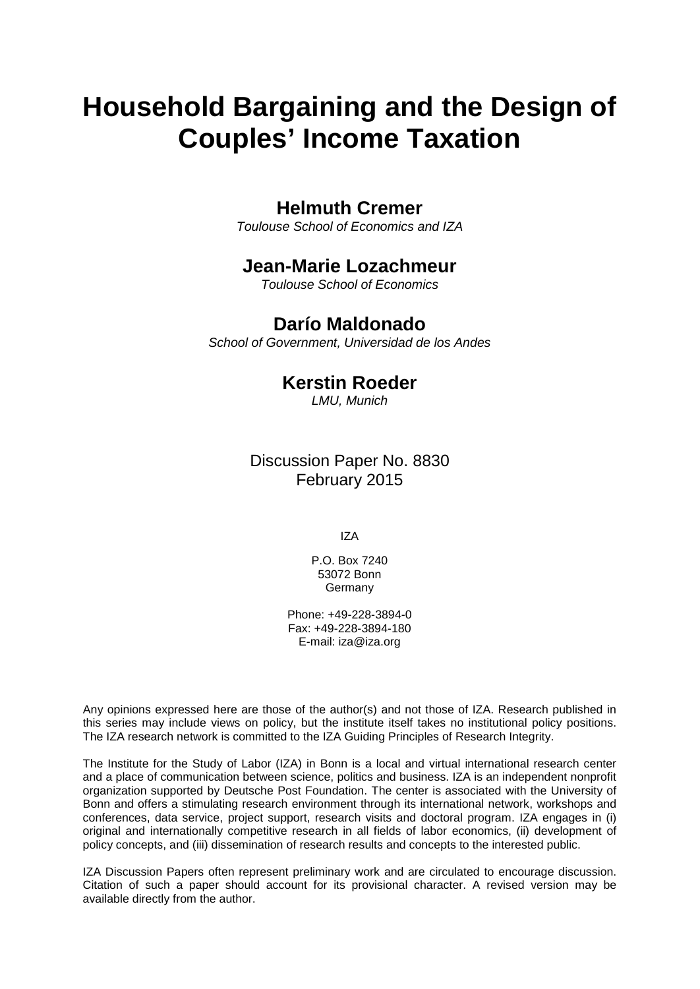# **Household Bargaining and the Design of Couples' Income Taxation**

### **Helmuth Cremer**

*Toulouse School of Economics and IZA*

### **Jean-Marie Lozachmeur**

*Toulouse School of Economics*

# **Darío Maldonado**

*School of Government, Universidad de los Andes*

# **Kerstin Roeder**

*LMU, Munich*

## Discussion Paper No. 8830 February 2015

IZA

P.O. Box 7240 53072 Bonn Germany

Phone: +49-228-3894-0 Fax: +49-228-3894-180 E-mail: [iza@iza.org](mailto:iza@iza.org)

Any opinions expressed here are those of the author(s) and not those of IZA. Research published in this series may include views on policy, but the institute itself takes no institutional policy positions. The IZA research network is committed to the IZA Guiding Principles of Research Integrity.

The Institute for the Study of Labor (IZA) in Bonn is a local and virtual international research center and a place of communication between science, politics and business. IZA is an independent nonprofit organization supported by Deutsche Post Foundation. The center is associated with the University of Bonn and offers a stimulating research environment through its international network, workshops and conferences, data service, project support, research visits and doctoral program. IZA engages in (i) original and internationally competitive research in all fields of labor economics, (ii) development of policy concepts, and (iii) dissemination of research results and concepts to the interested public.

<span id="page-1-0"></span>IZA Discussion Papers often represent preliminary work and are circulated to encourage discussion. Citation of such a paper should account for its provisional character. A revised version may be available directly from the author.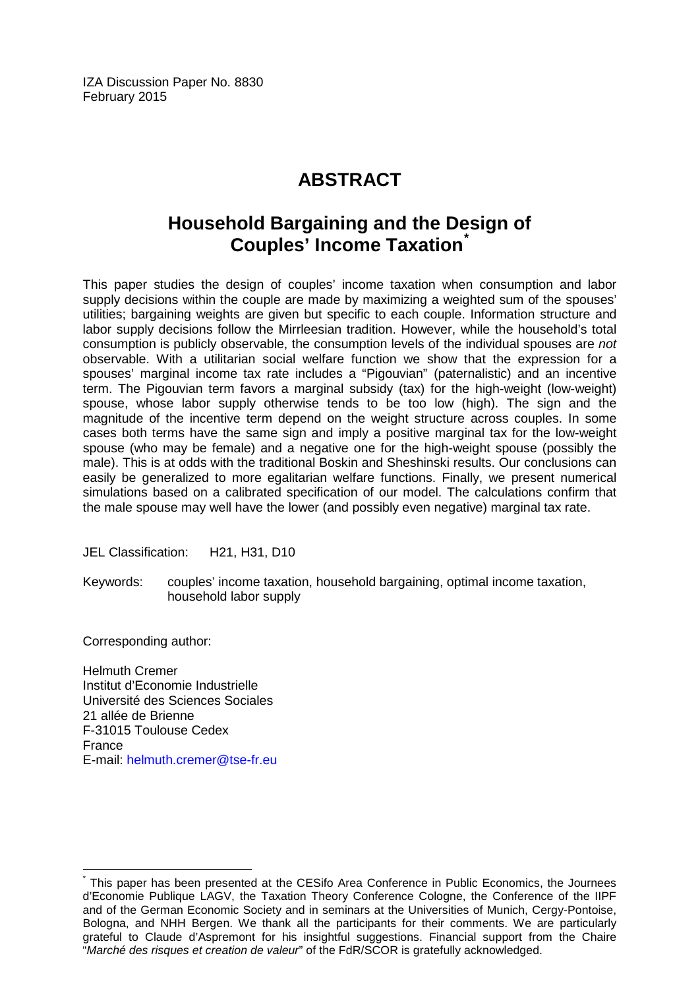IZA Discussion Paper No. 8830 February 2015

# **ABSTRACT**

# **Household Bargaining and the Design of Couples' Income Taxation[\\*](#page-1-0)**

This paper studies the design of couples' income taxation when consumption and labor supply decisions within the couple are made by maximizing a weighted sum of the spouses' utilities; bargaining weights are given but specific to each couple. Information structure and labor supply decisions follow the Mirrleesian tradition. However, while the household's total consumption is publicly observable, the consumption levels of the individual spouses are *not* observable. With a utilitarian social welfare function we show that the expression for a spouses' marginal income tax rate includes a "Pigouvian" (paternalistic) and an incentive term. The Pigouvian term favors a marginal subsidy (tax) for the high-weight (low-weight) spouse, whose labor supply otherwise tends to be too low (high). The sign and the magnitude of the incentive term depend on the weight structure across couples. In some cases both terms have the same sign and imply a positive marginal tax for the low-weight spouse (who may be female) and a negative one for the high-weight spouse (possibly the male). This is at odds with the traditional Boskin and Sheshinski results. Our conclusions can easily be generalized to more egalitarian welfare functions. Finally, we present numerical simulations based on a calibrated specification of our model. The calculations confirm that the male spouse may well have the lower (and possibly even negative) marginal tax rate.

JEL Classification: H21, H31, D10

Keywords: couples' income taxation, household bargaining, optimal income taxation, household labor supply

Corresponding author:

Helmuth Cremer Institut d'Economie Industrielle Université des Sciences Sociales 21 allée de Brienne F-31015 Toulouse Cedex France E-mail: [helmuth.cremer@tse-fr.eu](mailto:helmuth.cremer@tse-fr.eu)

This paper has been presented at the CESifo Area Conference in Public Economics, the Journees d'Economie Publique LAGV, the Taxation Theory Conference Cologne, the Conference of the IIPF and of the German Economic Society and in seminars at the Universities of Munich, Cergy-Pontoise, Bologna, and NHH Bergen. We thank all the participants for their comments. We are particularly grateful to Claude d'Aspremont for his insightful suggestions. Financial support from the Chaire "*Marché des risques et creation de valeur*" of the FdR/SCOR is gratefully acknowledged.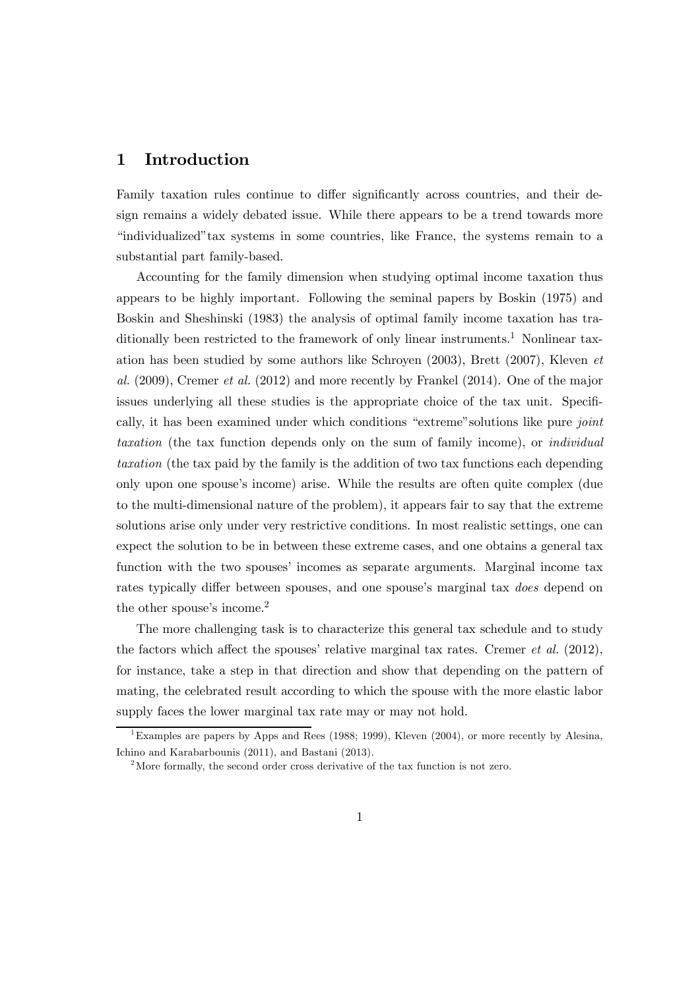### 1 Introduction

Family taxation rules continue to differ significantly across countries, and their design remains a widely debated issue. While there appears to be a trend towards more "individualized"tax systems in some countries, like France, the systems remain to a substantial part family-based.

Accounting for the family dimension when studying optimal income taxation thus appears to be highly important. Following the seminal papers by Boskin (1975) and Boskin and Sheshinski (1983) the analysis of optimal family income taxation has traditionally been restricted to the framework of only linear instruments.<sup>1</sup> Nonlinear taxation has been studied by some authors like Schroyen (2003), Brett (2007), Kleven et al. (2009), Cremer et al. (2012) and more recently by Frankel (2014). One of the major issues underlying all these studies is the appropriate choice of the tax unit. Specifically, it has been examined under which conditions "extreme" solutions like pure joint taxation (the tax function depends only on the sum of family income), or individual taxation (the tax paid by the family is the addition of two tax functions each depending only upon one spouse's income) arise. While the results are often quite complex (due to the multi-dimensional nature of the problem), it appears fair to say that the extreme solutions arise only under very restrictive conditions. In most realistic settings, one can expect the solution to be in between these extreme cases, and one obtains a general tax function with the two spouses' incomes as separate arguments. Marginal income tax rates typically differ between spouses, and one spouse's marginal tax *does* depend on the other spouse's income.<sup>2</sup>

The more challenging task is to characterize this general tax schedule and to study the factors which affect the spouses' relative marginal tax rates. Cremer *et al.*  $(2012)$ , for instance, take a step in that direction and show that depending on the pattern of mating, the celebrated result according to which the spouse with the more elastic labor supply faces the lower marginal tax rate may or may not hold.

<sup>&</sup>lt;sup>1</sup>Examples are papers by Apps and Rees (1988; 1999), Kleven (2004), or more recently by Alesina, Ichino and Karabarbounis (2011), and Bastani (2013).

<sup>&</sup>lt;sup>2</sup>More formally, the second order cross derivative of the tax function is not zero.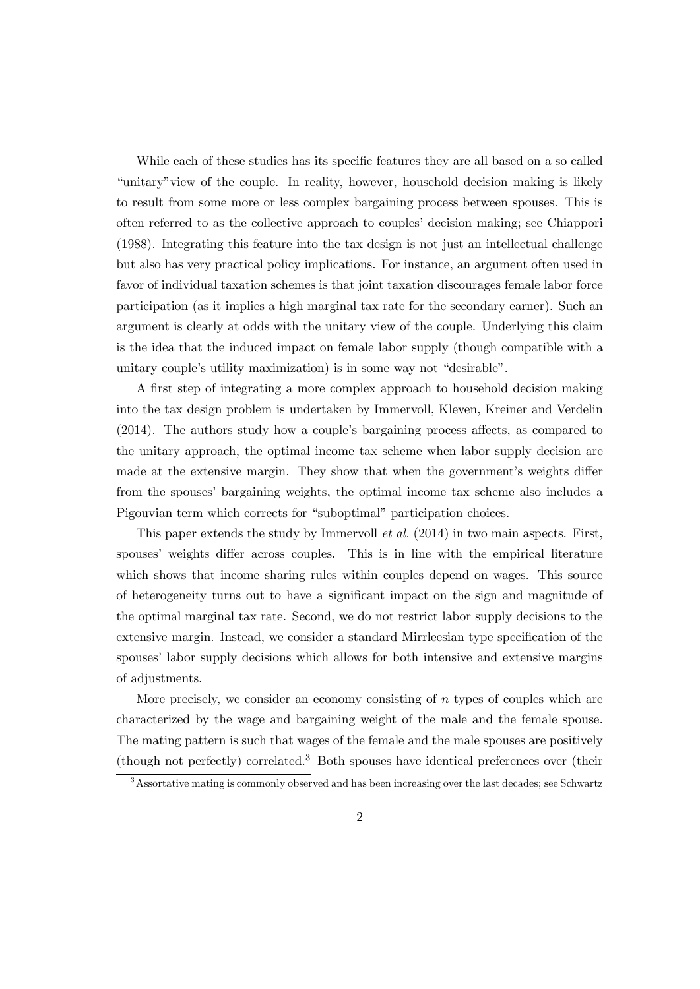While each of these studies has its specific features they are all based on a so called "unitary"view of the couple. In reality, however, household decision making is likely to result from some more or less complex bargaining process between spouses. This is often referred to as the collective approach to couples' decision making; see Chiappori (1988). Integrating this feature into the tax design is not just an intellectual challenge but also has very practical policy implications. For instance, an argument often used in favor of individual taxation schemes is that joint taxation discourages female labor force participation (as it implies a high marginal tax rate for the secondary earner). Such an argument is clearly at odds with the unitary view of the couple. Underlying this claim is the idea that the induced impact on female labor supply (though compatible with a unitary couple's utility maximization) is in some way not "desirable".

A first step of integrating a more complex approach to household decision making into the tax design problem is undertaken by Immervoll, Kleven, Kreiner and Verdelin (2014). The authors study how a couple's bargaining process affects, as compared to the unitary approach, the optimal income tax scheme when labor supply decision are made at the extensive margin. They show that when the government's weights differ from the spouses' bargaining weights, the optimal income tax scheme also includes a Pigouvian term which corrects for "suboptimal" participation choices.

This paper extends the study by Immervoll et al. (2014) in two main aspects. First, spouses' weights differ across couples. This is in line with the empirical literature which shows that income sharing rules within couples depend on wages. This source of heterogeneity turns out to have a significant impact on the sign and magnitude of the optimal marginal tax rate. Second, we do not restrict labor supply decisions to the extensive margin. Instead, we consider a standard Mirrleesian type specification of the spouses' labor supply decisions which allows for both intensive and extensive margins of adjustments.

More precisely, we consider an economy consisting of  $n$  types of couples which are characterized by the wage and bargaining weight of the male and the female spouse. The mating pattern is such that wages of the female and the male spouses are positively (though not perfectly) correlated.<sup>3</sup> Both spouses have identical preferences over (their

 $3<sup>3</sup>$ Assortative mating is commonly observed and has been increasing over the last decades; see Schwartz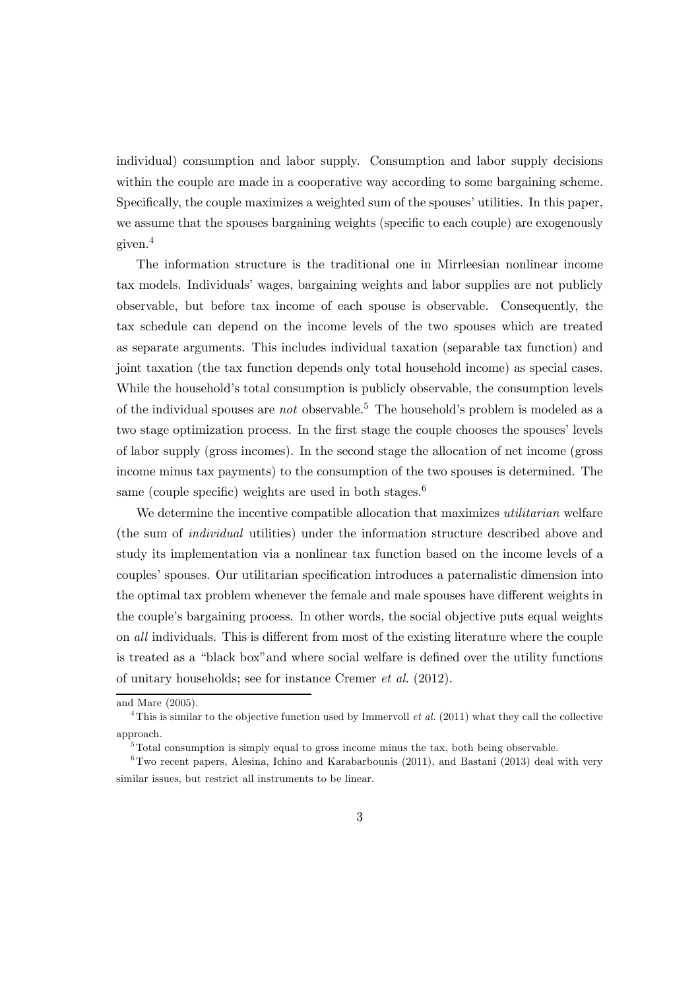individual) consumption and labor supply. Consumption and labor supply decisions within the couple are made in a cooperative way according to some bargaining scheme. Specifically, the couple maximizes a weighted sum of the spouses' utilities. In this paper, we assume that the spouses bargaining weights (specific to each couple) are exogenously given.<sup>4</sup>

The information structure is the traditional one in Mirrleesian nonlinear income tax models. Individuals' wages, bargaining weights and labor supplies are not publicly observable, but before tax income of each spouse is observable. Consequently, the tax schedule can depend on the income levels of the two spouses which are treated as separate arguments. This includes individual taxation (separable tax function) and joint taxation (the tax function depends only total household income) as special cases. While the household's total consumption is publicly observable, the consumption levels of the individual spouses are *not* observable.<sup>5</sup> The household's problem is modeled as a two stage optimization process. In the first stage the couple chooses the spouses' levels of labor supply (gross incomes). In the second stage the allocation of net income (gross income minus tax payments) to the consumption of the two spouses is determined. The same (couple specific) weights are used in both stages.<sup>6</sup>

We determine the incentive compatible allocation that maximizes *utilitarian* welfare (the sum of individual utilities) under the information structure described above and study its implementation via a nonlinear tax function based on the income levels of a couples' spouses. Our utilitarian specification introduces a paternalistic dimension into the optimal tax problem whenever the female and male spouses have different weights in the couple's bargaining process. In other words, the social objective puts equal weights on all individuals. This is different from most of the existing literature where the couple is treated as a "black box"and where social welfare is defined over the utility functions of unitary households; see for instance Cremer et al. (2012).

and Mare (2005).

<sup>&</sup>lt;sup>4</sup>This is similar to the objective function used by Immervoll *et al.* (2011) what they call the collective approach.

 $5T$ otal consumption is simply equal to gross income minus the tax, both being observable.

 $6$ Two recent papers, Alesina, Ichino and Karabarbounis (2011), and Bastani (2013) deal with very similar issues, but restrict all instruments to be linear.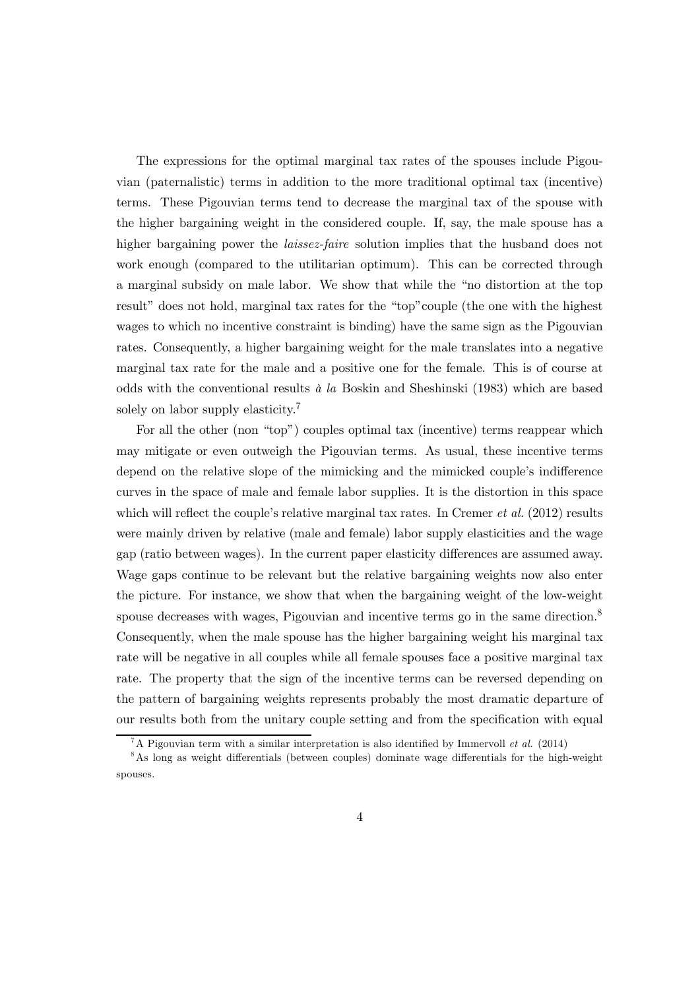The expressions for the optimal marginal tax rates of the spouses include Pigouvian (paternalistic) terms in addition to the more traditional optimal tax (incentive) terms. These Pigouvian terms tend to decrease the marginal tax of the spouse with the higher bargaining weight in the considered couple. If, say, the male spouse has a higher bargaining power the *laissez-faire* solution implies that the husband does not work enough (compared to the utilitarian optimum). This can be corrected through a marginal subsidy on male labor. We show that while the "no distortion at the top result" does not hold, marginal tax rates for the "top"couple (the one with the highest wages to which no incentive constraint is binding) have the same sign as the Pigouvian rates. Consequently, a higher bargaining weight for the male translates into a negative marginal tax rate for the male and a positive one for the female. This is of course at odds with the conventional results  $\dot{a}$  la Boskin and Sheshinski (1983) which are based solely on labor supply elasticity.<sup>7</sup>

For all the other (non "top") couples optimal tax (incentive) terms reappear which may mitigate or even outweigh the Pigouvian terms. As usual, these incentive terms depend on the relative slope of the mimicking and the mimicked couple's indifference curves in the space of male and female labor supplies. It is the distortion in this space which will reflect the couple's relative marginal tax rates. In Cremer *et al.*  $(2012)$  results were mainly driven by relative (male and female) labor supply elasticities and the wage gap (ratio between wages). In the current paper elasticity differences are assumed away. Wage gaps continue to be relevant but the relative bargaining weights now also enter the picture. For instance, we show that when the bargaining weight of the low-weight spouse decreases with wages, Pigouvian and incentive terms go in the same direction.<sup>8</sup> Consequently, when the male spouse has the higher bargaining weight his marginal tax rate will be negative in all couples while all female spouses face a positive marginal tax rate. The property that the sign of the incentive terms can be reversed depending on the pattern of bargaining weights represents probably the most dramatic departure of our results both from the unitary couple setting and from the specification with equal

<sup>&</sup>lt;sup>7</sup>A Pigouvian term with a similar interpretation is also identified by Immervoll *et al.* (2014)

<sup>8</sup>As long as weight differentials (between couples) dominate wage differentials for the high-weight spouses.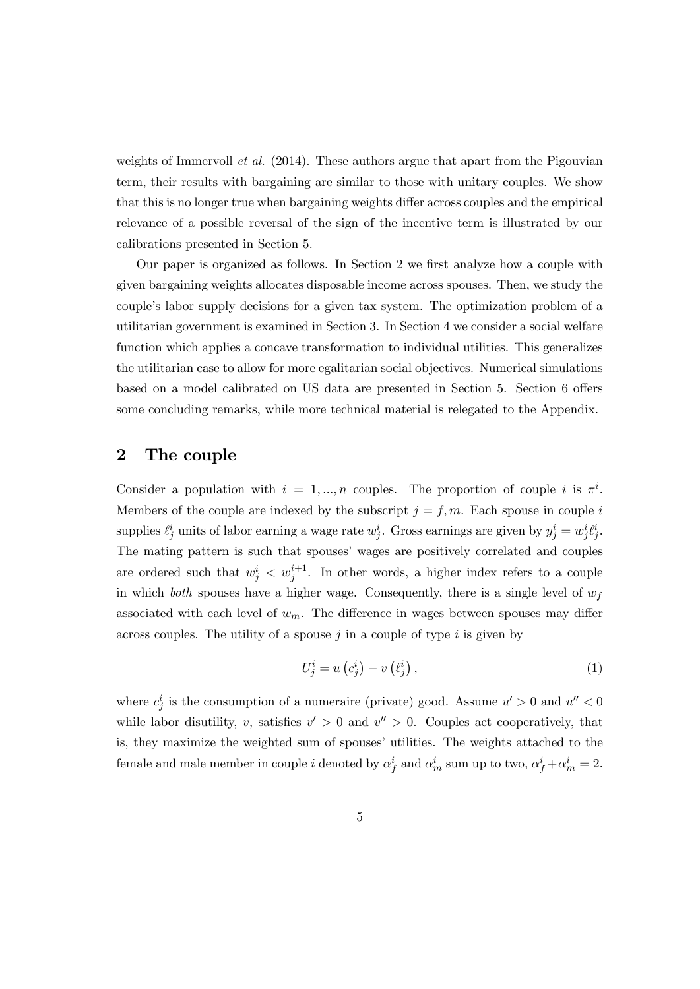weights of Immervoll *et al.* (2014). These authors argue that apart from the Pigouvian term, their results with bargaining are similar to those with unitary couples. We show that this is no longer true when bargaining weights differ across couples and the empirical relevance of a possible reversal of the sign of the incentive term is illustrated by our calibrations presented in Section 5.

Our paper is organized as follows. In Section 2 we first analyze how a couple with given bargaining weights allocates disposable income across spouses. Then, we study the couple's labor supply decisions for a given tax system. The optimization problem of a utilitarian government is examined in Section 3. In Section 4 we consider a social welfare function which applies a concave transformation to individual utilities. This generalizes the utilitarian case to allow for more egalitarian social objectives. Numerical simulations based on a model calibrated on US data are presented in Section 5. Section 6 offers some concluding remarks, while more technical material is relegated to the Appendix.

### 2 The couple

Consider a population with  $i = 1, ..., n$  couples. The proportion of couple i is  $\pi^{i}$ . Members of the couple are indexed by the subscript  $j = f, m$ . Each spouse in couple i supplies  $\ell_j^i$  units of labor earning a wage rate  $w_j^i$ . Gross earnings are given by  $y_j^i = w_j^i \ell_j^i$ . The mating pattern is such that spouses' wages are positively correlated and couples are ordered such that  $w_j^i < w_j^{i+1}$ . In other words, a higher index refers to a couple in which both spouses have a higher wage. Consequently, there is a single level of  $w_f$ associated with each level of  $w_m$ . The difference in wages between spouses may differ across couples. The utility of a spouse  $j$  in a couple of type  $i$  is given by

$$
U_j^i = u\left(c_j^i\right) - v\left(\ell_j^i\right),\tag{1}
$$

where  $c_j^i$  is the consumption of a numeraire (private) good. Assume  $u' > 0$  and  $u'' < 0$ while labor disutility, v, satisfies  $v' > 0$  and  $v'' > 0$ . Couples act cooperatively, that is, they maximize the weighted sum of spouses' utilities. The weights attached to the female and male member in couple *i* denoted by  $\alpha_f^i$  and  $\alpha_m^i$  sum up to two,  $\alpha_f^i + \alpha_m^i = 2$ .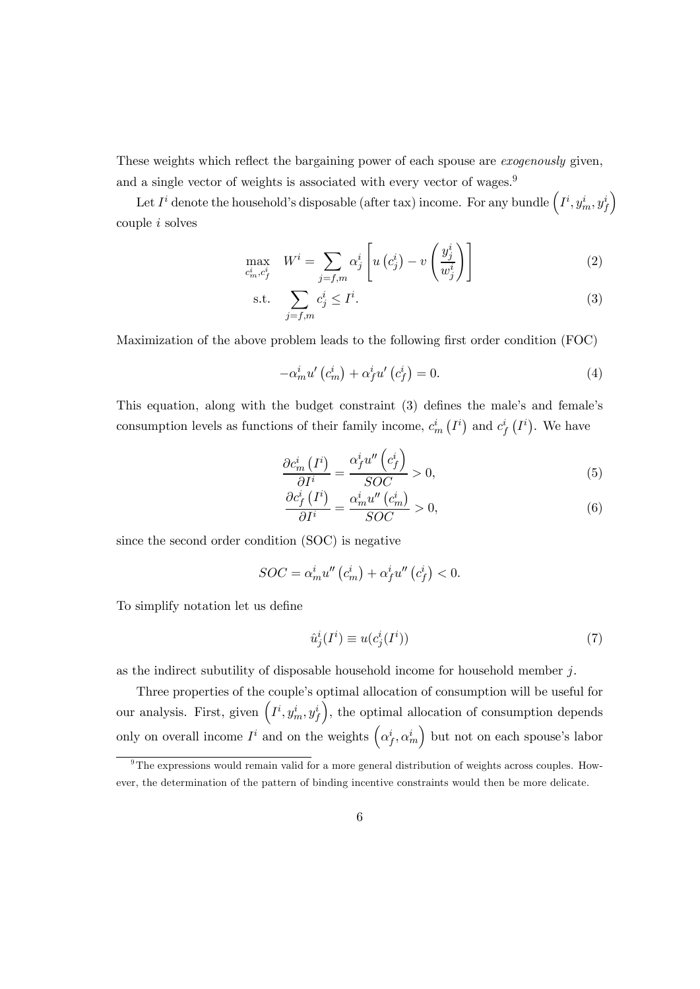These weights which reflect the bargaining power of each spouse are *exogenously* given, and a single vector of weights is associated with every vector of wages.<sup>9</sup>

Let  $I^i$  denote the household's disposable (after tax) income. For any bundle  $\left(I^i, y_m^i, y_J^i\right)$ ´ couple  $i$  solves

$$
\max_{c_m^i, c_f^i} \quad W^i = \sum_{j=f,m} \alpha_j^i \left[ u\left(c_j^i\right) - v\left(\frac{y_j^i}{w_j^i}\right) \right] \tag{2}
$$

$$
\text{s.t.} \quad \sum_{j=f,m} c_j^i \le I^i. \tag{3}
$$

Maximization of the above problem leads to the following first order condition (FOC)

$$
-\alpha_m^i u'\left(c_m^i\right) + \alpha_f^i u'\left(c_f^i\right) = 0. \tag{4}
$$

This equation, along with the budget constraint (3) defines the male's and female's consumption levels as functions of their family income,  $c_m^i(I^i)$  and  $c_f^i(I^i)$ . We have

$$
\frac{\partial c_m^i(I^i)}{\partial I^i} = \frac{\alpha_f^i u''(c_f^i)}{SOC} > 0,
$$
\n(5)

$$
\frac{\partial c_f^i(I^i)}{\partial I^i} = \frac{\alpha_m^i u''(c_m^i)}{SOC} > 0,
$$
\n(6)

since the second order condition (SOC) is negative

$$
SOC = \alpha_m^i u''(c_m^i) + \alpha_f^i u''(c_f^i) < 0.
$$

To simplify notation let us define

$$
\hat{u}_j^i(I^i) \equiv u(c_j^i(I^i))\tag{7}
$$

as the indirect subutility of disposable household income for household member  $i$ .

Three properties of the couple's optimal allocation of consumption will be useful for our analysis. First, given  $\left(I^i, y_m^i, y_f^i\right)$ ), the optimal allocation of consumption depends only on overall income  $I^i$  and on the weights  $(\alpha_f^i, \alpha_m^i)$  but not on each spouse's labor

 $9^9$ The expressions would remain valid for a more general distribution of weights across couples. However, the determination of the pattern of binding incentive constraints would then be more delicate.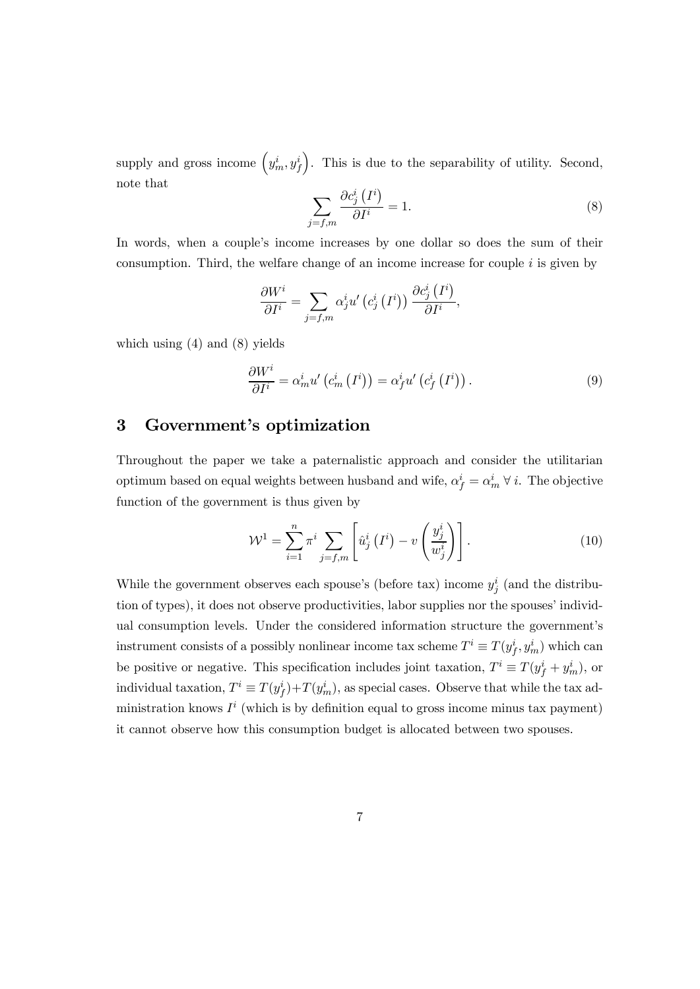supply and gross income  $(y_m^i, y_f^i)$ ´ . This is due to the separability of utility. Second, note that

$$
\sum_{j=f,m} \frac{\partial c_j^i \left( I^i \right)}{\partial I^i} = 1. \tag{8}
$$

In words, when a couple's income increases by one dollar so does the sum of their consumption. Third, the welfare change of an income increase for couple  $i$  is given by

$$
\frac{\partial W^{i}}{\partial I^{i}} = \sum_{j=f,m} \alpha_{j}^{i} u^{'} \left(c_{j}^{i} \left(I^{i}\right)\right) \frac{\partial c_{j}^{i} \left(I^{i}\right)}{\partial I^{i}},
$$

which using  $(4)$  and  $(8)$  yields

$$
\frac{\partial W^{i}}{\partial I^{i}} = \alpha_{m}^{i} u' \left( c_{m}^{i} \left( I^{i} \right) \right) = \alpha_{f}^{i} u' \left( c_{f}^{i} \left( I^{i} \right) \right). \tag{9}
$$

#### 3 Government's optimization

Throughout the paper we take a paternalistic approach and consider the utilitarian optimum based on equal weights between husband and wife,  $\alpha_f^i = \alpha_m^i \forall i$ . The objective function of the government is thus given by

$$
\mathcal{W}^1 = \sum_{i=1}^n \pi^i \sum_{j=f,m} \left[ \hat{u}_j^i \left( I^i \right) - v \left( \frac{y_j^i}{w_j^i} \right) \right]. \tag{10}
$$

While the government observes each spouse's (before tax) income  $y_j^i$  (and the distribution of types), it does not observe productivities, labor supplies nor the spouses' individual consumption levels. Under the considered information structure the government's instrument consists of a possibly nonlinear income tax scheme  $T^i \equiv T(y_f^i, y_m^i)$  which can be positive or negative. This specification includes joint taxation,  $T^i \equiv T(y_f^i + y_m^i)$ , or individual taxation,  $T^i \equiv T(y_f^i) + T(y_m^i)$ , as special cases. Observe that while the tax administration knows  $I^i$  (which is by definition equal to gross income minus tax payment) it cannot observe how this consumption budget is allocated between two spouses.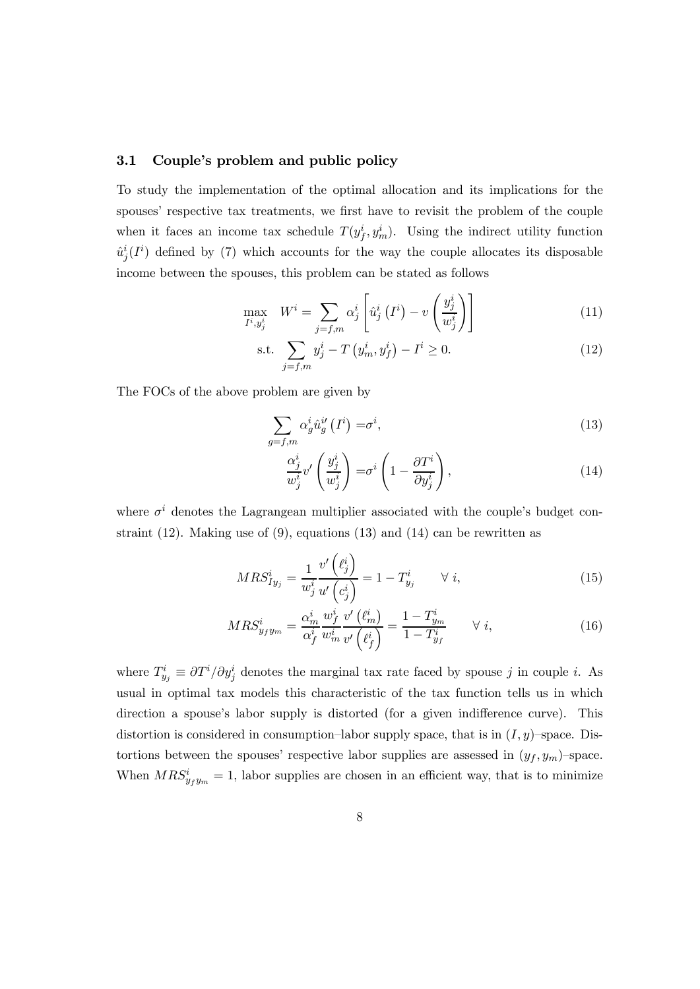#### 3.1 Couple's problem and public policy

To study the implementation of the optimal allocation and its implications for the spouses' respective tax treatments, we first have to revisit the problem of the couple when it faces an income tax schedule  $T(y_f^i, y_m^i)$ . Using the indirect utility function  $\hat{u}_j^i(I^i)$  defined by (7) which accounts for the way the couple allocates its disposable income between the spouses, this problem can be stated as follows

$$
\max_{I^i, y_j^i} \quad W^i = \sum_{j=f,m} \alpha_j^i \left[ \hat{u}_j^i \left( I^i \right) - v \left( \frac{y_j^i}{w_j^i} \right) \right] \tag{11}
$$

s.t. 
$$
\sum_{j=f,m} y_j^i - T\left(y_m^i, y_f^i\right) - I^i \ge 0.
$$
 (12)

The FOCs of the above problem are given by

$$
\sum_{g=f,m} \alpha_g^i \hat{u}_g^{i'} \left(I^i\right) = \sigma^i,\tag{13}
$$

$$
\frac{\alpha_j^i}{w_j^i} v' \left(\frac{y_j^i}{w_j^i}\right) = \sigma^i \left(1 - \frac{\partial T^i}{\partial y_j^i}\right),\tag{14}
$$

where  $\sigma^{i}$  denotes the Lagrangean multiplier associated with the couple's budget constraint (12). Making use of (9), equations (13) and (14) can be rewritten as

$$
MRS_{Iy_j}^i = \frac{1}{w_j^i} \frac{v'\left(\ell_j^i\right)}{u'\left(c_j^i\right)} = 1 - T_{y_j}^i \qquad \forall i,
$$
\n
$$
(15)
$$

$$
MRS_{y_f y_m}^i = \frac{\alpha_m^i}{\alpha_f^i} \frac{w_f^i}{w_m^i} \frac{v'\left(\ell_m^i\right)}{v'\left(\ell_f^i\right)} = \frac{1 - T_{y_m}^i}{1 - T_{y_f}^i} \qquad \forall i,
$$
\n(16)

where  $T_{y_j}^i \equiv \partial T^i / \partial y_j^i$  denotes the marginal tax rate faced by spouse j in couple i. As usual in optimal tax models this characteristic of the tax function tells us in which direction a spouse's labor supply is distorted (for a given indifference curve). This distortion is considered in consumption–labor supply space, that is in  $(I, y)$ –space. Distortions between the spouses' respective labor supplies are assessed in  $(y_f, y_m)$ -space. When  $MRS_{y_f y_m}^i = 1$ , labor supplies are chosen in an efficient way, that is to minimize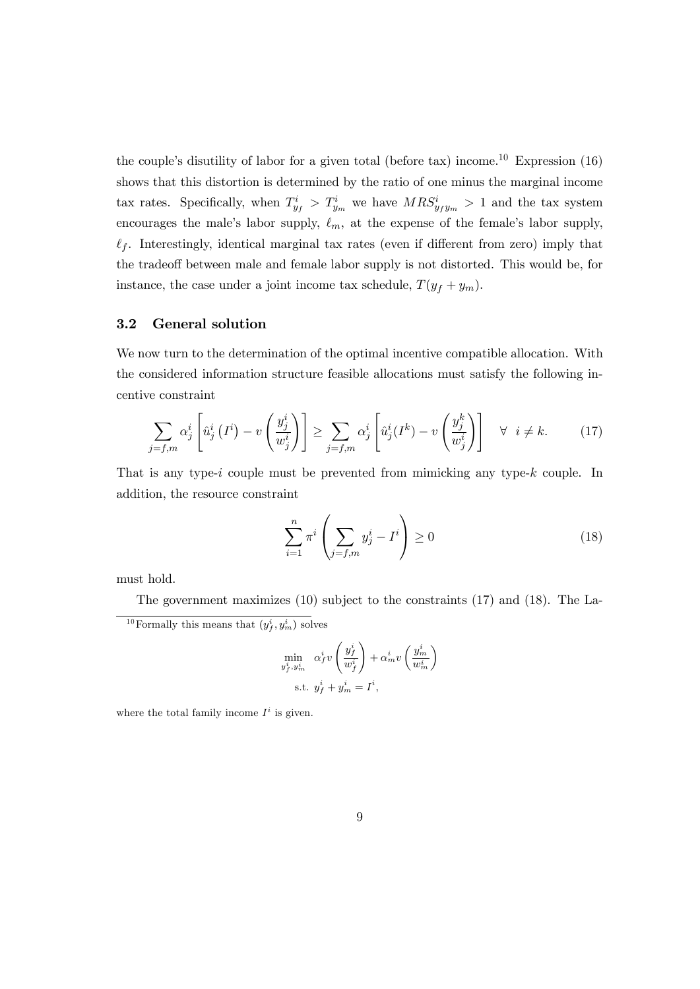the couple's disutility of labor for a given total (before tax) income.<sup>10</sup> Expression  $(16)$ shows that this distortion is determined by the ratio of one minus the marginal income tax rates. Specifically, when  $T_{y_f}^i > T_{y_m}^i$  we have  $MRS_{y_f y_m}^i > 1$  and the tax system encourages the male's labor supply,  $\ell_m$ , at the expense of the female's labor supply,  $\ell_f$ . Interestingly, identical marginal tax rates (even if different from zero) imply that the tradeoff between male and female labor supply is not distorted. This would be, for instance, the case under a joint income tax schedule,  $T(y_f + y_m)$ .

#### 3.2 General solution

We now turn to the determination of the optimal incentive compatible allocation. With the considered information structure feasible allocations must satisfy the following incentive constraint

$$
\sum_{j=f,m} \alpha_j^i \left[ \hat{u}_j^i \left( I^i \right) - v \left( \frac{y_j^i}{w_j^i} \right) \right] \ge \sum_{j=f,m} \alpha_j^i \left[ \hat{u}_j^i \left( I^k \right) - v \left( \frac{y_j^k}{w_j^i} \right) \right] \quad \forall \ i \neq k. \tag{17}
$$

That is any type-*i* couple must be prevented from mimicking any type- $k$  couple. In addition, the resource constraint

$$
\sum_{i=1}^{n} \pi^i \left( \sum_{j=f,m} y_j^i - I^i \right) \ge 0 \tag{18}
$$

must hold.

The government maximizes (10) subject to the constraints (17) and (18). The La-

$$
\label{eq:optimal} \begin{aligned} \min_{y_f^i, y_m^i} \quad & \alpha_f^i v \left( \frac{y_f^i}{w_f^i} \right) + \alpha_m^i v \left( \frac{y_m^i}{w_m^i} \right) \\ \text{s.t. } & y_f^i + y_m^i = I^i, \end{aligned}
$$

where the total family income  $I^i$  is given.

<sup>&</sup>lt;sup>10</sup> Formally this means that  $(y_f^i, y_m^i)$  solves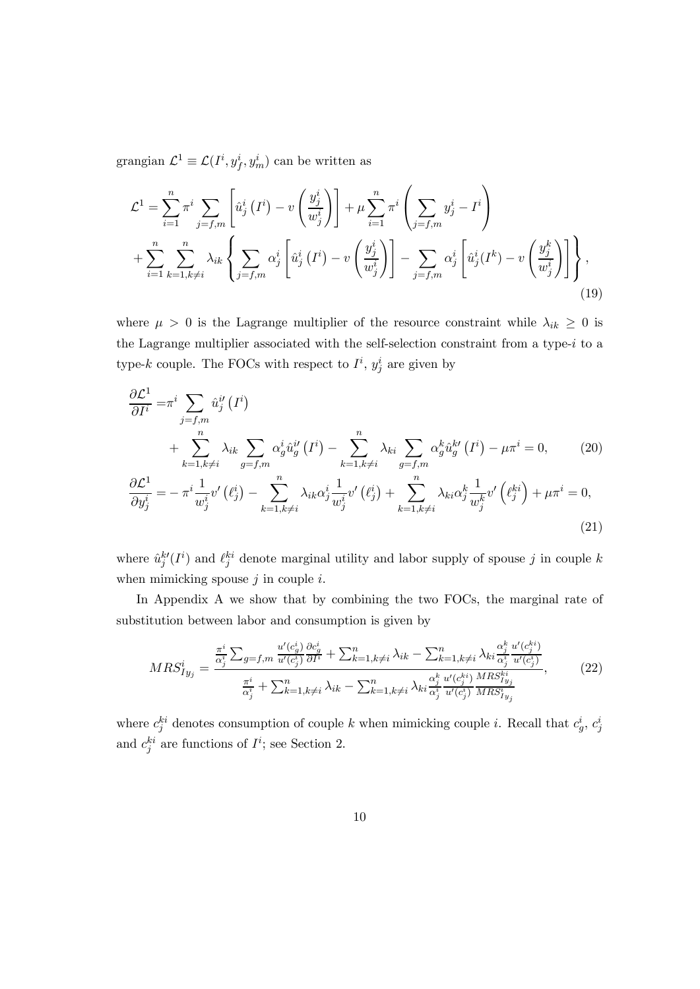grangian  $\mathcal{L}^1 \equiv \mathcal{L}(I^i, y_f^i, y_m^i)$  can be written as

$$
\mathcal{L}^{1} = \sum_{i=1}^{n} \pi^{i} \sum_{j=f,m} \left[ \hat{u}_{j}^{i} \left( I^{i} \right) - v \left( \frac{y_{j}^{i}}{w_{j}^{i}} \right) \right] + \mu \sum_{i=1}^{n} \pi^{i} \left( \sum_{j=f,m} y_{j}^{i} - I^{i} \right)
$$
  
+ 
$$
\sum_{i=1}^{n} \sum_{k=1, k \neq i}^{n} \lambda_{ik} \left\{ \sum_{j=f,m} \alpha_{j}^{i} \left[ \hat{u}_{j}^{i} \left( I^{i} \right) - v \left( \frac{y_{j}^{i}}{w_{j}^{i}} \right) \right] - \sum_{j=f,m} \alpha_{j}^{i} \left[ \hat{u}_{j}^{i} \left( I^{k} \right) - v \left( \frac{y_{j}^{k}}{w_{j}^{i}} \right) \right] \right\}, \tag{19}
$$

where  $\mu > 0$  is the Lagrange multiplier of the resource constraint while  $\lambda_{ik} \geq 0$  is the Lagrange multiplier associated with the self-selection constraint from a type- $i$  to a type-k couple. The FOCs with respect to  $I^i$ ,  $y_j^i$  are given by

$$
\frac{\partial \mathcal{L}^1}{\partial I^i} = \pi^i \sum_{j=f,m} \hat{u}_j^{i'} (I^i)
$$
\n
$$
+ \sum_{k=1, k \neq i}^n \lambda_{ik} \sum_{g=f,m} \alpha_g^i \hat{u}_g^{i'} (I^i) - \sum_{k=1, k \neq i}^n \lambda_{ki} \sum_{g=f,m} \alpha_g^k \hat{u}_g^{k'} (I^i) - \mu \pi^i = 0, \qquad (20)
$$
\n
$$
\frac{\partial \mathcal{L}^1}{\partial y_j^i} = - \pi^i \frac{1}{w_j^i} v' (\ell_j^i) - \sum_{k=1, k \neq i}^n \lambda_{ik} \alpha_j^i \frac{1}{w_j^i} v' (\ell_j^i) + \sum_{k=1, k \neq i}^n \lambda_{ki} \alpha_j^k \frac{1}{w_j^k} v' (\ell_j^{ki}) + \mu \pi^i = 0, \qquad (21)
$$

where  $\hat{u}_j^{k'}(I^i)$  and  $\ell_j^{ki}$  denote marginal utility and labor supply of spouse j in couple k when mimicking spouse  $j$  in couple  $i$ .

In Appendix A we show that by combining the two FOCs, the marginal rate of substitution between labor and consumption is given by

$$
MRS_{Iy_{j}}^{i} = \frac{\frac{\pi^{i}}{\alpha_{j}^{i}} \sum_{g=f,m} \frac{u'(c_{g}^{i})}{u'(c_{j}^{i})} \frac{\partial c_{g}^{i}}{\partial I^{i}} + \sum_{k=1,k\neq i}^{n} \lambda_{ik} - \sum_{k=1,k\neq i}^{n} \lambda_{ki} \frac{\alpha_{j}^{k}}{\alpha_{j}^{i}} \frac{u'(c_{j}^{k})}{u'(c_{j}^{i})}}{\frac{\pi^{i}}{\alpha_{j}^{i}} + \sum_{k=1,k\neq i}^{n} \lambda_{ik} - \sum_{k=1,k\neq i}^{n} \lambda_{ki} \frac{\alpha_{j}^{k}}{\alpha_{j}^{i}} \frac{u'(c_{j}^{k})}{u'(c_{j}^{i})} \frac{MRS_{Iy_{j}}^{k i}}{MRS_{Iy_{j}}^{i}}},
$$
(22)

where  $c_j^{ki}$  denotes consumption of couple k when mimicking couple i. Recall that  $c_g^i$ ,  $c_j^i$ and  $c_j^{ki}$  are functions of  $I^i$ ; see Section 2.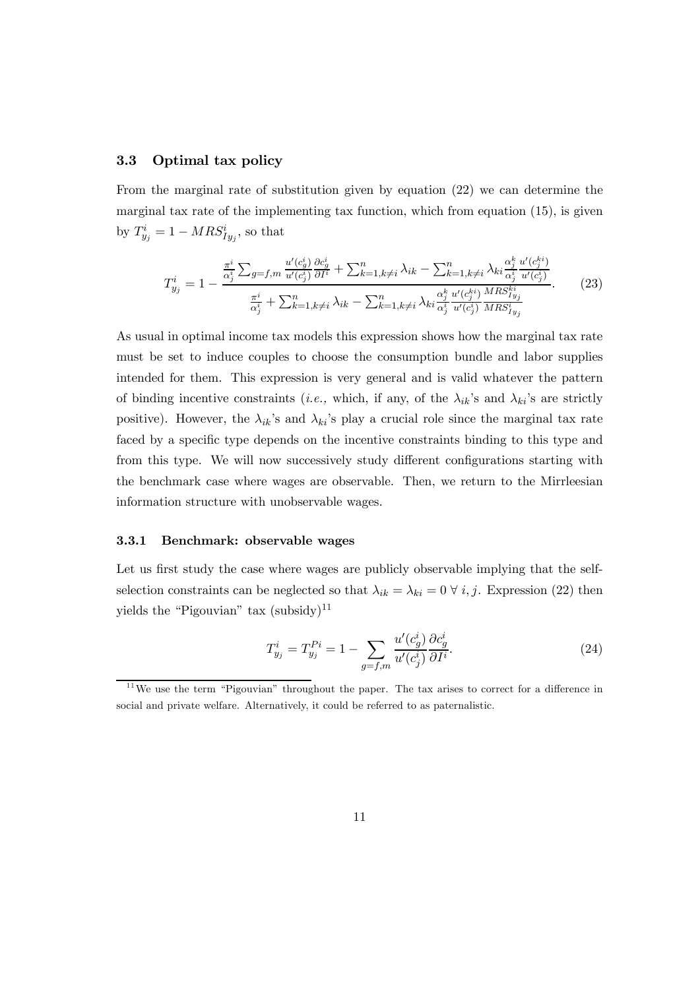#### 3.3 Optimal tax policy

From the marginal rate of substitution given by equation (22) we can determine the marginal tax rate of the implementing tax function, which from equation (15), is given by  $T_{y_j}^i = 1 - MRS_{Iy_j}^i$ , so that

$$
T_{y_j}^i = 1 - \frac{\frac{\pi^i}{\alpha_j^i} \sum_{g=f,m} \frac{u'(c_g^i)}{u'(c_j^i)} \frac{\partial c_g^i}{\partial I^i} + \sum_{k=1, k \neq i}^n \lambda_{ik} - \sum_{k=1, k \neq i}^n \lambda_{ki} \frac{\alpha_j^k}{\alpha_j^i} \frac{u'(c_j^{ki})}{u'(c_j^i)}}{\frac{\pi^i}{\alpha_j^i} + \sum_{k=1, k \neq i}^n \lambda_{ik} - \sum_{k=1, k \neq i}^n \lambda_{ki} \frac{\alpha_j^k}{\alpha_j^i} \frac{u'(c_j^{ki})}{u'(c_j^i)} \frac{MRS_{j_{y_j}}^{ki}}{MRS_{j_{y_j}}^{ij}}}. \tag{23}
$$

As usual in optimal income tax models this expression shows how the marginal tax rate must be set to induce couples to choose the consumption bundle and labor supplies intended for them. This expression is very general and is valid whatever the pattern of binding incentive constraints (*i.e.*, which, if any, of the  $\lambda_{ik}$ 's and  $\lambda_{ki}$ 's are strictly positive). However, the  $\lambda_{ik}$ 's and  $\lambda_{ki}$ 's play a crucial role since the marginal tax rate faced by a specific type depends on the incentive constraints binding to this type and from this type. We will now successively study different configurations starting with the benchmark case where wages are observable. Then, we return to the Mirrleesian information structure with unobservable wages.

#### 3.3.1 Benchmark: observable wages

Let us first study the case where wages are publicly observable implying that the selfselection constraints can be neglected so that  $\lambda_{ik} = \lambda_{ki} = 0 \ \forall i, j$ . Expression (22) then yields the "Pigouvian" tax  $(subsidy)^{11}$ 

$$
T_{y_j}^i = T_{y_j}^{Pi} = 1 - \sum_{g=f,m} \frac{u'(c_g^i)}{u'(c_g^i)} \frac{\partial c_g^i}{\partial I^i}.
$$
 (24)

 $11$ We use the term "Pigouvian" throughout the paper. The tax arises to correct for a difference in social and private welfare. Alternatively, it could be referred to as paternalistic.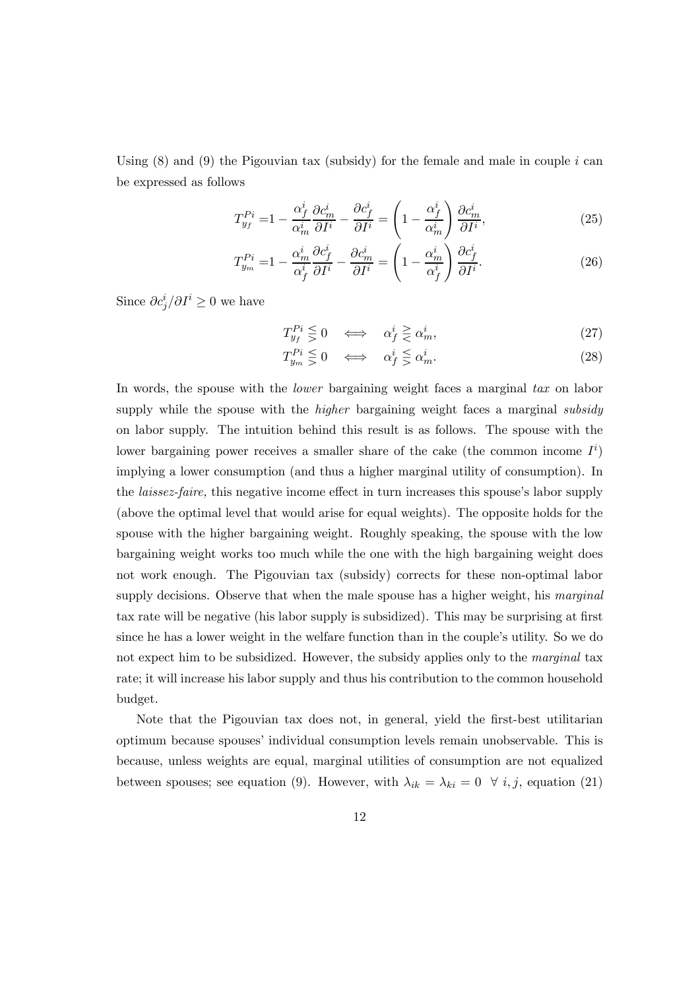Using  $(8)$  and  $(9)$  the Pigouvian tax (subsidy) for the female and male in couple *i* can be expressed as follows

$$
T_{y_f}^{Pi} = 1 - \frac{\alpha_f^i}{\alpha_m^i} \frac{\partial c_m^i}{\partial I^i} - \frac{\partial c_f^i}{\partial I^i} = \left(1 - \frac{\alpha_f^i}{\alpha_m^i}\right) \frac{\partial c_m^i}{\partial I^i},\tag{25}
$$

$$
T_{y_m}^{Pi} = 1 - \frac{\alpha_m^i}{\alpha_f^i} \frac{\partial c_f^i}{\partial I^i} - \frac{\partial c_m^i}{\partial I^i} = \left(1 - \frac{\alpha_m^i}{\alpha_f^i}\right) \frac{\partial c_f^i}{\partial I^i}.
$$
 (26)

Since  $\partial c_j^i / \partial I^i \geq 0$  we have

$$
T_{y_f}^{Pi} \leq 0 \quad \Longleftrightarrow \quad \alpha_f^i \geq \alpha_m^i,\tag{27}
$$

$$
T_{y_m}^{Pi} \leq 0 \iff \alpha_f^i \leq \alpha_m^i. \tag{28}
$$

In words, the spouse with the *lower* bargaining weight faces a marginal tax on labor supply while the spouse with the *higher* bargaining weight faces a marginal *subsidy* on labor supply. The intuition behind this result is as follows. The spouse with the lower bargaining power receives a smaller share of the cake (the common income  $I^i$ ) implying a lower consumption (and thus a higher marginal utility of consumption). In the laissez-faire, this negative income effect in turn increases this spouse's labor supply (above the optimal level that would arise for equal weights). The opposite holds for the spouse with the higher bargaining weight. Roughly speaking, the spouse with the low bargaining weight works too much while the one with the high bargaining weight does not work enough. The Pigouvian tax (subsidy) corrects for these non-optimal labor supply decisions. Observe that when the male spouse has a higher weight, his marginal tax rate will be negative (his labor supply is subsidized). This may be surprising at first since he has a lower weight in the welfare function than in the couple's utility. So we do not expect him to be subsidized. However, the subsidy applies only to the *marginal* tax rate; it will increase his labor supply and thus his contribution to the common household budget.

Note that the Pigouvian tax does not, in general, yield the first-best utilitarian optimum because spouses' individual consumption levels remain unobservable. This is because, unless weights are equal, marginal utilities of consumption are not equalized between spouses; see equation (9). However, with  $\lambda_{ik} = \lambda_{ki} = 0 \quad \forall i, j$ , equation (21)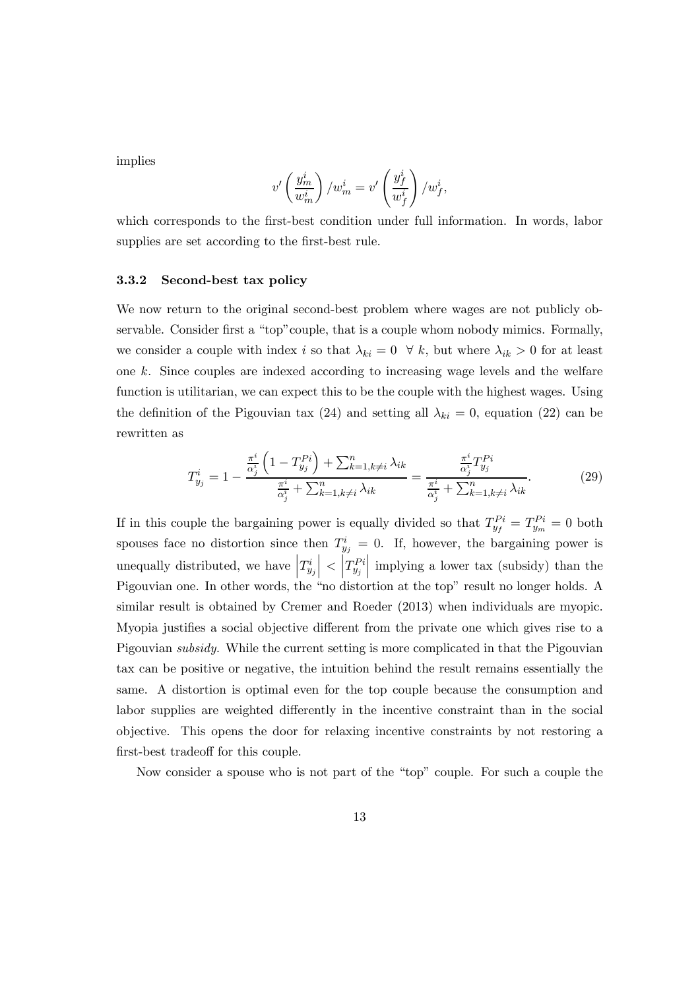implies

$$
v'\left(\frac{y_m^i}{w_m^i}\right)/w_m^i = v'\left(\frac{y_f^i}{w_f^i}\right)/w_f^i,
$$

which corresponds to the first-best condition under full information. In words, labor supplies are set according to the first-best rule.

#### 3.3.2 Second-best tax policy

We now return to the original second-best problem where wages are not publicly observable. Consider first a "top"couple, that is a couple whom nobody mimics. Formally, we consider a couple with index *i* so that  $\lambda_{ki} = 0 \quad \forall k$ , but where  $\lambda_{ik} > 0$  for at least one  $k$ . Since couples are indexed according to increasing wage levels and the welfare function is utilitarian, we can expect this to be the couple with the highest wages. Using the definition of the Pigouvian tax (24) and setting all  $\lambda_{ki} = 0$ , equation (22) can be rewritten as

$$
T_{y_j}^i = 1 - \frac{\frac{\pi^i}{\alpha_j^i} \left( 1 - T_{y_j}^{Pi} \right) + \sum_{k=1, k \neq i}^n \lambda_{ik}}{\frac{\pi^i}{\alpha_j^i} + \sum_{k=1, k \neq i}^n \lambda_{ik}} = \frac{\frac{\pi^i}{\alpha_j^i} T_{y_j}^{Pi}}{\frac{\pi^i}{\alpha_j^i} + \sum_{k=1, k \neq i}^n \lambda_{ik}}.
$$
(29)

If in this couple the bargaining power is equally divided so that  $T_{y_f}^{Pi} = T_{y_m}^{Pi} = 0$  both spouses face no distortion since then  $T_{y_j}^i = 0$ . If, however, the bargaining power is unequally distributed, we have  $\left|T_{y_j}^i\right|$  $\Big| < \Big| T_{y_j}^{Pi}$  $\Big\vert$  implying a lower tax (subsidy) than the Pigouvian one. In other words, the "no distortion at the top" result no longer holds. A similar result is obtained by Cremer and Roeder (2013) when individuals are myopic. Myopia justifies a social objective different from the private one which gives rise to a Pigouvian subsidy. While the current setting is more complicated in that the Pigouvian tax can be positive or negative, the intuition behind the result remains essentially the same. A distortion is optimal even for the top couple because the consumption and labor supplies are weighted differently in the incentive constraint than in the social objective. This opens the door for relaxing incentive constraints by not restoring a first-best tradeoff for this couple.

Now consider a spouse who is not part of the "top" couple. For such a couple the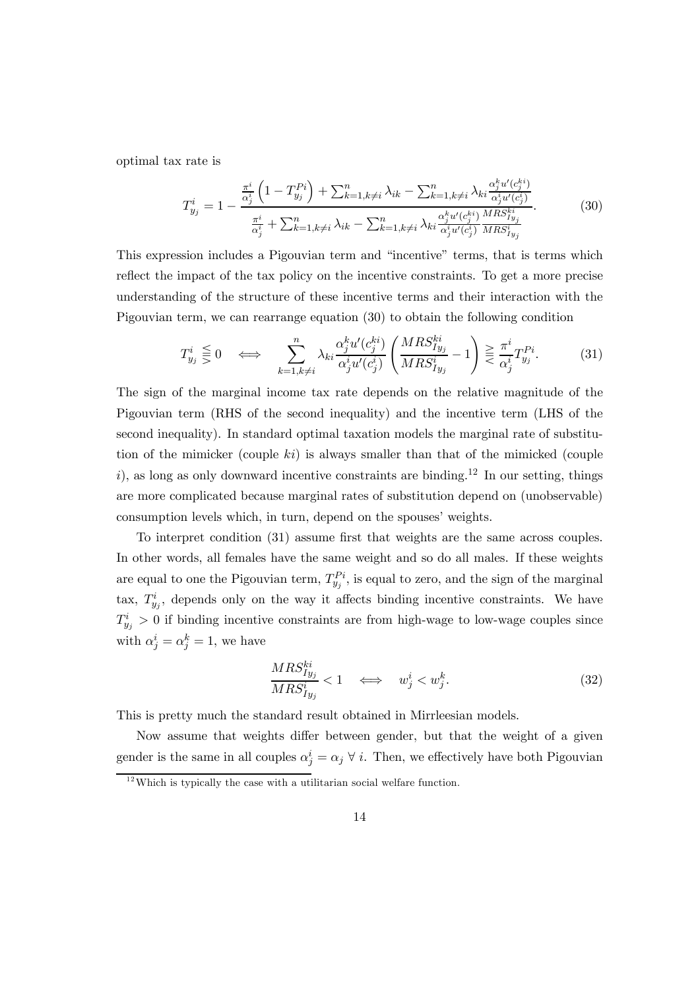optimal tax rate is

$$
T_{y_j}^i = 1 - \frac{\frac{\pi^i}{\alpha_j^i} \left( 1 - T_{y_j}^{Pi} \right) + \sum_{k=1, k \neq i}^n \lambda_{ik} - \sum_{k=1, k \neq i}^n \lambda_{ki} \frac{\alpha_j^{k} u'(c_j^{k})}{\alpha_j^{i} u'(c_j^{k})}}{\frac{\pi^i}{\alpha_j^i} + \sum_{k=1, k \neq i}^n \lambda_{ik} - \sum_{k=1, k \neq i}^n \lambda_{ki} \frac{\alpha_j^{k} u'(c_j^{k}) MRS_{I_{y_j}}^{k}}{\alpha_j^{i} u'(c_j^{i}) MRS_{I_{y_j}}^{k}}}. \tag{30}
$$

This expression includes a Pigouvian term and "incentive" terms, that is terms which reflect the impact of the tax policy on the incentive constraints. To get a more precise understanding of the structure of these incentive terms and their interaction with the Pigouvian term, we can rearrange equation (30) to obtain the following condition

$$
T_{y_j}^i \leq 0 \iff \sum_{k=1, k \neq i}^n \lambda_{ki} \frac{\alpha_j^k u'(c_j^{ki})}{\alpha_j^i u'(c_j^i)} \left( \frac{MRS_{Iy_j}^{ki}}{MRS_{Iy_j}^i} - 1 \right) \geq \frac{\pi^i}{\alpha_j^i} T_{y_j}^{Pi}.
$$
 (31)

The sign of the marginal income tax rate depends on the relative magnitude of the Pigouvian term (RHS of the second inequality) and the incentive term (LHS of the second inequality). In standard optimal taxation models the marginal rate of substitution of the mimicker (couple  $ki$ ) is always smaller than that of the mimicked (couple i), as long as only downward incentive constraints are binding.<sup>12</sup> In our setting, things are more complicated because marginal rates of substitution depend on (unobservable) consumption levels which, in turn, depend on the spouses' weights.

To interpret condition (31) assume first that weights are the same across couples. In other words, all females have the same weight and so do all males. If these weights are equal to one the Pigouvian term,  $T_{y_j}^{P_i}$ , is equal to zero, and the sign of the marginal tax,  $T_{y_j}^i$ , depends only on the way it affects binding incentive constraints. We have  $T_{y_j}^i > 0$  if binding incentive constraints are from high-wage to low-wage couples since with  $\alpha_j^i = \alpha_j^k = 1$ , we have

$$
\frac{MRS_{Iy_j}^{ki}}{MRS_{Iy_j}^{i}} < 1 \quad \Longleftrightarrow \quad w_j^i < w_j^k. \tag{32}
$$

This is pretty much the standard result obtained in Mirrleesian models.

Now assume that weights differ between gender, but that the weight of a given gender is the same in all couples  $\alpha_j^i = \alpha_j \forall i$ . Then, we effectively have both Pigouvian

 $12$  Which is typically the case with a utilitarian social welfare function.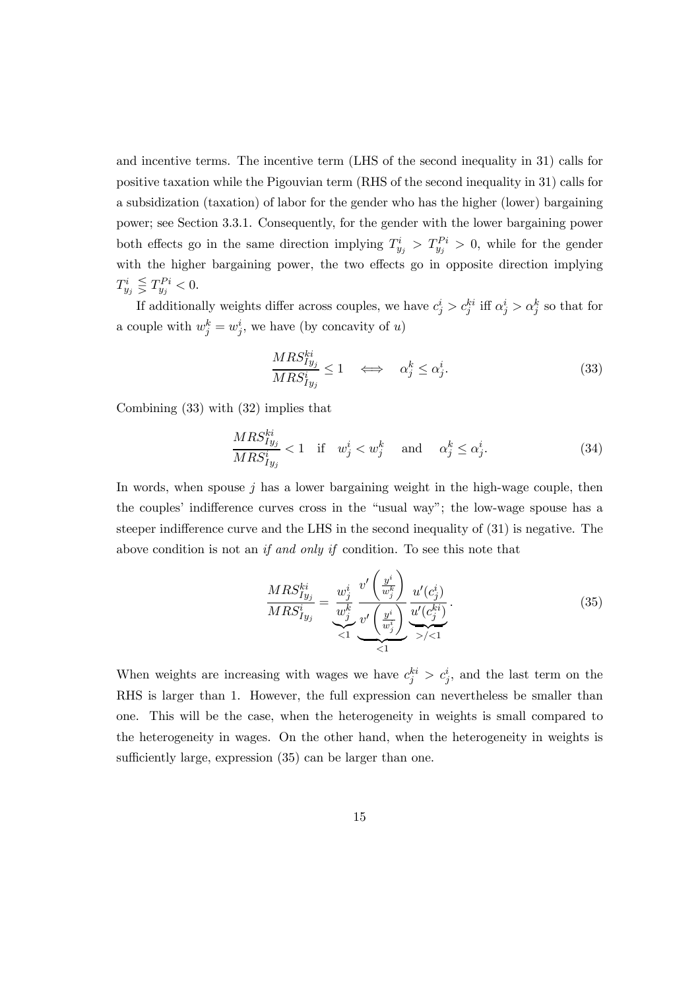and incentive terms. The incentive term (LHS of the second inequality in 31) calls for positive taxation while the Pigouvian term (RHS of the second inequality in 31) calls for a subsidization (taxation) of labor for the gender who has the higher (lower) bargaining power; see Section 3.3.1. Consequently, for the gender with the lower bargaining power both effects go in the same direction implying  $T_{y_j}^i > T_{y_j}^{P_i} > 0$ , while for the gender with the higher bargaining power, the two effects go in opposite direction implying  $T^i_{y_j} \lesseqqgtr T^{Pi}_{y_j} < 0.$ 

If additionally weights differ across couples, we have  $c_j^i > c_j^{ki}$  iff  $\alpha_j^i > \alpha_j^k$  so that for a couple with  $w_j^k = w_j^i$ , we have (by concavity of u)

$$
\frac{MRS_{Iy_j}^{ki}}{MRS_{Iy_j}^{i}} \le 1 \quad \Longleftrightarrow \quad \alpha_j^k \le \alpha_j^i. \tag{33}
$$

Combining (33) with (32) implies that

$$
\frac{MRS_{Iy_j}^{ki}}{MRS_{Iy_j}^{i}} < 1 \quad \text{if} \quad w_j^i < w_j^k \quad \text{and} \quad \alpha_j^k \le \alpha_j^i. \tag{34}
$$

In words, when spouse  $j$  has a lower bargaining weight in the high-wage couple, then the couples' indifference curves cross in the "usual way"; the low-wage spouse has a steeper indifference curve and the LHS in the second inequality of (31) is negative. The above condition is not an if and only if condition. To see this note that

$$
\frac{MRS_{Iy_j}^{ki}}{MRS_{Iy_j}^i} = \underbrace{\frac{w_j^i}{w_j^k}}_{\lt 1} \underbrace{\frac{v'}{\frac{v'}{w_j^k}}}_{\lt 1} \underbrace{\frac{v'}{\frac{v'}{w_j^i}}}_{\lt 1} \underbrace{\frac{u'(c_j^i)}{u'(c_j^k)}}_{\lt 1}.
$$
\n(35)

When weights are increasing with wages we have  $c_j^{ki} > c_j^i$ , and the last term on the RHS is larger than 1. However, the full expression can nevertheless be smaller than one. This will be the case, when the heterogeneity in weights is small compared to the heterogeneity in wages. On the other hand, when the heterogeneity in weights is sufficiently large, expression (35) can be larger than one.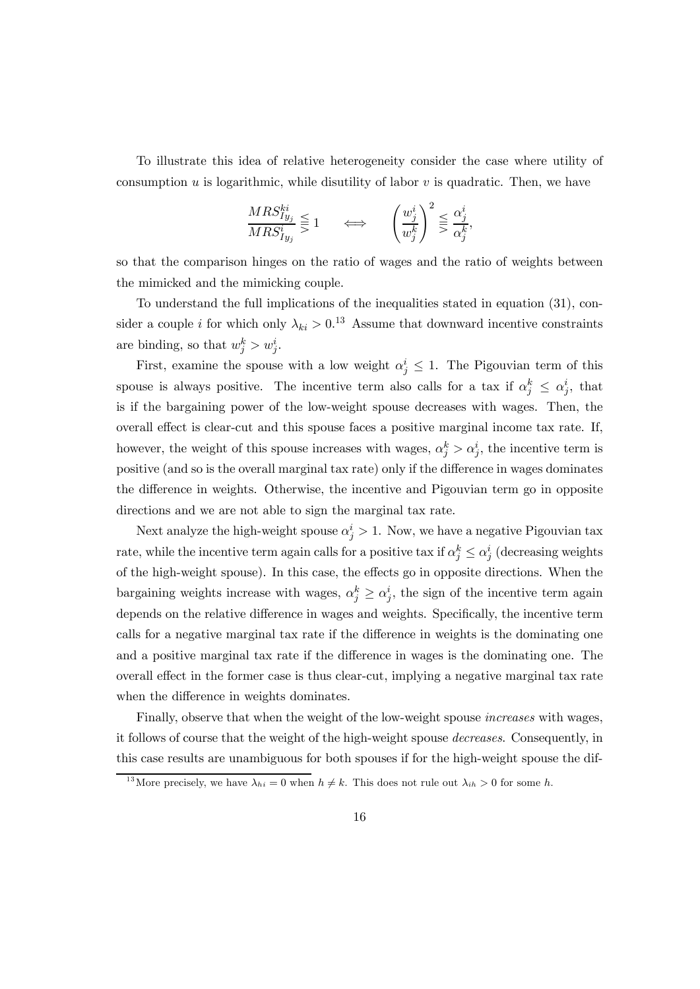To illustrate this idea of relative heterogeneity consider the case where utility of consumption  $u$  is logarithmic, while disutility of labor  $v$  is quadratic. Then, we have

$$
\frac{MRS_{Iy_j}^{ki}}{MRS_{Iy_j}^{i}} \leq 1 \qquad \Longleftrightarrow \qquad \left(\frac{w_j^i}{w_j^k}\right)^2 \leq \frac{\alpha_j^i}{\alpha_j^k},
$$

so that the comparison hinges on the ratio of wages and the ratio of weights between the mimicked and the mimicking couple.

To understand the full implications of the inequalities stated in equation (31), consider a couple *i* for which only  $\lambda_{ki} > 0.13$  Assume that downward incentive constraints are binding, so that  $w_j^k > w_j^i$ .

First, examine the spouse with a low weight  $\alpha_j^i \leq 1$ . The Pigouvian term of this spouse is always positive. The incentive term also calls for a tax if  $\alpha_j^k \leq \alpha_j^i$ , that is if the bargaining power of the low-weight spouse decreases with wages. Then, the overall effect is clear-cut and this spouse faces a positive marginal income tax rate. If, however, the weight of this spouse increases with wages,  $\alpha_j^k > \alpha_j^i$ , the incentive term is positive (and so is the overall marginal tax rate) only if the difference in wages dominates the difference in weights. Otherwise, the incentive and Pigouvian term go in opposite directions and we are not able to sign the marginal tax rate.

Next analyze the high-weight spouse  $\alpha_j^i > 1$ . Now, we have a negative Pigouvian tax rate, while the incentive term again calls for a positive tax if  $\alpha_j^k \leq \alpha_j^i$  (decreasing weights of the high-weight spouse). In this case, the effects go in opposite directions. When the bargaining weights increase with wages,  $\alpha_j^k \geq \alpha_j^i$ , the sign of the incentive term again depends on the relative difference in wages and weights. Specifically, the incentive term calls for a negative marginal tax rate if the difference in weights is the dominating one and a positive marginal tax rate if the difference in wages is the dominating one. The overall effect in the former case is thus clear-cut, implying a negative marginal tax rate when the difference in weights dominates.

Finally, observe that when the weight of the low-weight spouse increases with wages, it follows of course that the weight of the high-weight spouse decreases. Consequently, in this case results are unambiguous for both spouses if for the high-weight spouse the dif-

<sup>&</sup>lt;sup>13</sup>More precisely, we have  $\lambda_{hi} = 0$  when  $h \neq k$ . This does not rule out  $\lambda_{ih} > 0$  for some h.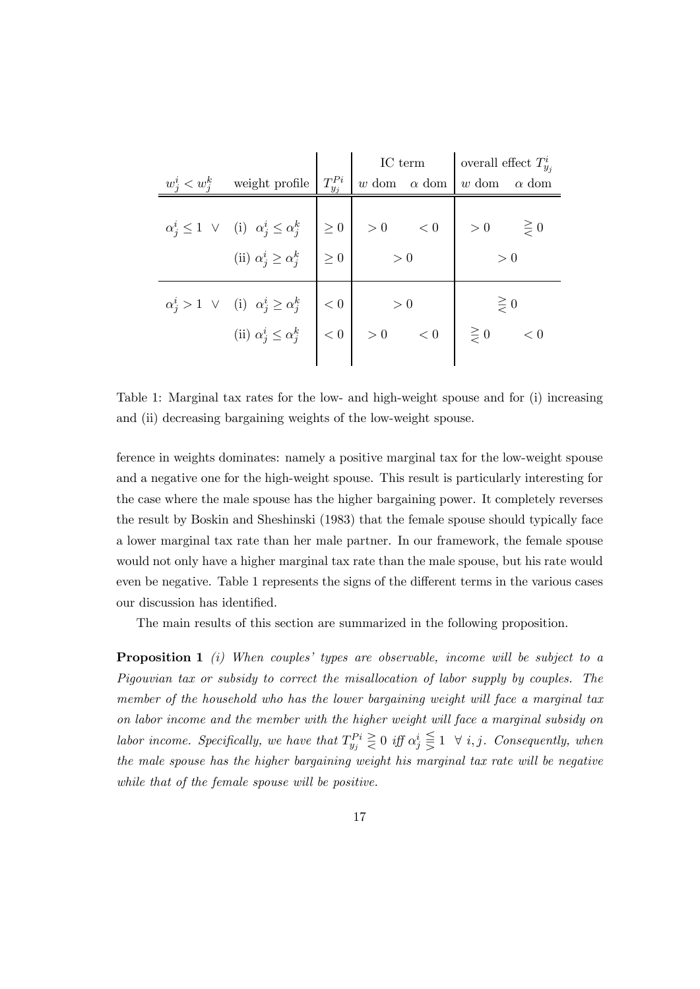|                 |                                                                                                                                                                                                                                                                                                                                                                                                                                                                                                                                              | $\begin{tabular}{c c c} \hline weight profile & $T^{Pi}_{y_j}$ & IC term & overall effect $T^{i}_{y_j}$ \\ \hline \end{tabular}$ |  |  |  |
|-----------------|----------------------------------------------------------------------------------------------------------------------------------------------------------------------------------------------------------------------------------------------------------------------------------------------------------------------------------------------------------------------------------------------------------------------------------------------------------------------------------------------------------------------------------------------|----------------------------------------------------------------------------------------------------------------------------------|--|--|--|
| $w_j^i < w_j^k$ |                                                                                                                                                                                                                                                                                                                                                                                                                                                                                                                                              |                                                                                                                                  |  |  |  |
|                 | $\begin{array}{ccc} \alpha^i_j \leq 1 \ \lor & \mbox{(i)} \ \ \alpha^i_j \leq \alpha^k_j & \nonumber \\ \mbox{(ii)} \ \alpha^i_j \geq \alpha^k_j & \nonumber \\ \end{array} \begin{array}{c} \bigg  \ \geq 0 \ \bigg  & > 0 \ \ & < 0 \ \ \bigg  & > 0 \ \ & > 0 \ \end{array} \begin{array}{c} \geq 0 \\ \geq 0 \ \ & > 0 \ \end{array}$                                                                                                                                                                                                    |                                                                                                                                  |  |  |  |
|                 |                                                                                                                                                                                                                                                                                                                                                                                                                                                                                                                                              |                                                                                                                                  |  |  |  |
|                 | $\alpha_j^i > 1 \quad \lor \quad (i) \quad \alpha_j^i \ge \alpha_j^k \quad \middle  \quad < 0 \quad \middle  \quad > 0 \quad \middle  \quad \ge 0 \quad \middle  \quad \ge 0 \quad \middle  \quad \ge 0 \quad \middle  \quad \ge 0 \quad \middle  \quad \ge 0 \quad \middle  \quad \ge 0 \quad \middle  \quad \ge 0 \quad \middle  \quad \ge 0 \quad \middle  \quad \ge 0 \quad \middle  \quad \ge 0 \quad \middle  \quad \ge 0 \quad \middle  \quad \ge 0 \quad \middle  \quad \ge 0 \quad \middle  \quad \ge 0 \quad \middle  \quad \ge 0$ |                                                                                                                                  |  |  |  |

Table 1: Marginal tax rates for the low- and high-weight spouse and for (i) increasing and (ii) decreasing bargaining weights of the low-weight spouse.

ference in weights dominates: namely a positive marginal tax for the low-weight spouse and a negative one for the high-weight spouse. This result is particularly interesting for the case where the male spouse has the higher bargaining power. It completely reverses the result by Boskin and Sheshinski (1983) that the female spouse should typically face a lower marginal tax rate than her male partner. In our framework, the female spouse would not only have a higher marginal tax rate than the male spouse, but his rate would even be negative. Table 1 represents the signs of the different terms in the various cases our discussion has identified.

The main results of this section are summarized in the following proposition.

**Proposition 1** (i) When couples' types are observable, income will be subject to a Pigouvian tax or subsidy to correct the misallocation of labor supply by couples. The member of the household who has the lower bargaining weight will face a marginal tax on labor income and the member with the higher weight will face a marginal subsidy on labor income. Specifically, we have that  $T_{y_j}^{P_i} \geq 0$  iff  $\alpha_j^i \leq 1 \ \ \forall \ i, j$ . Consequently, when the male spouse has the higher bargaining weight his marginal tax rate will be negative while that of the female spouse will be positive.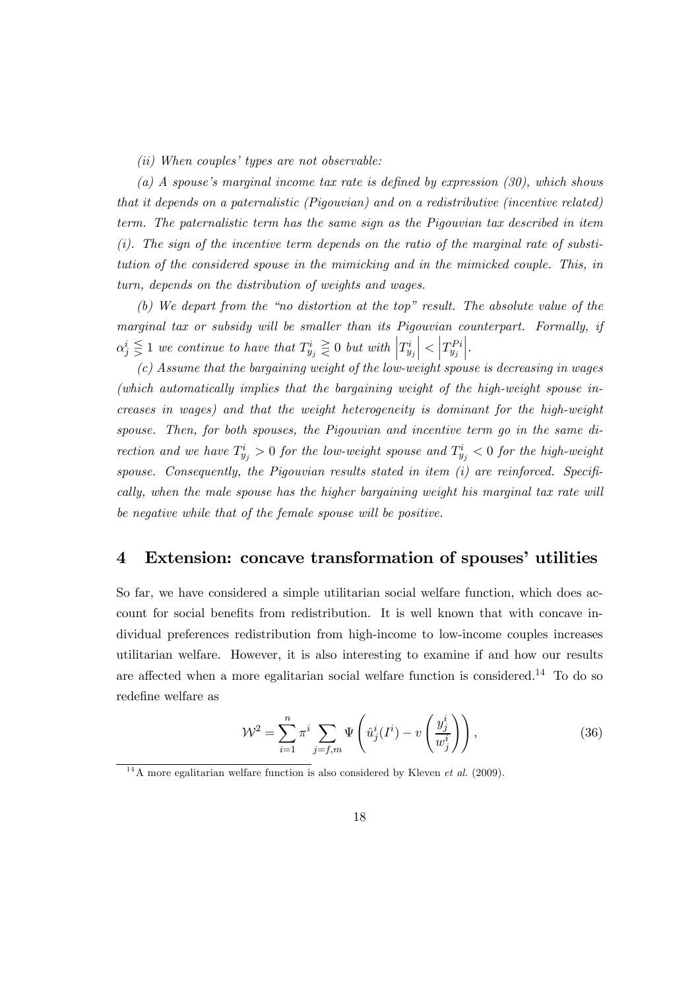(ii) When couples' types are not observable:

(a) A spouse's marginal income tax rate is defined by expression (30), which shows that it depends on a paternalistic (Pigouvian) and on a redistributive (incentive related) term. The paternalistic term has the same sign as the Pigouvian tax described in item  $(i)$ . The sign of the incentive term depends on the ratio of the marginal rate of substitution of the considered spouse in the mimicking and in the mimicked couple. This, in turn, depends on the distribution of weights and wages.

(b) We depart from the "no distortion at the top" result. The absolute value of the marginal tax or subsidy will be smaller than its Pigouvian counterpart. Formally, if  $\alpha_j^i \leqq 1$  we continue to have that  $T_{y_j}^i \geqq 0$  but with  $\left|T_{y_j}^i\right|$  $\Big | < \Big | T^{Pi}_{y_j}$  $\Bigg\vert \, .$ 

(c) Assume that the bargaining weight of the low-weight spouse is decreasing in wages (which automatically implies that the bargaining weight of the high-weight spouse increases in wages) and that the weight heterogeneity is dominant for the high-weight spouse. Then, for both spouses, the Pigouvian and incentive term go in the same direction and we have  $T_{y_j}^i > 0$  for the low-weight spouse and  $T_{y_j}^i < 0$  for the high-weight spouse. Consequently, the Pigouvian results stated in item  $(i)$  are reinforced. Specifically, when the male spouse has the higher bargaining weight his marginal tax rate will be negative while that of the female spouse will be positive.

#### 4 Extension: concave transformation of spouses' utilities

So far, we have considered a simple utilitarian social welfare function, which does account for social benefits from redistribution. It is well known that with concave individual preferences redistribution from high-income to low-income couples increases utilitarian welfare. However, it is also interesting to examine if and how our results are affected when a more egalitarian social welfare function is considered.14 To do so redefine welfare as

$$
\mathcal{W}^2 = \sum_{i=1}^n \pi^i \sum_{j=f,m} \Psi\left(\hat{u}_j^i(I^i) - v\left(\frac{y_j^i}{w_j^i}\right)\right),\tag{36}
$$

<sup>&</sup>lt;sup>14</sup>A more egalitarian welfare function is also considered by Kleven *et al.* (2009).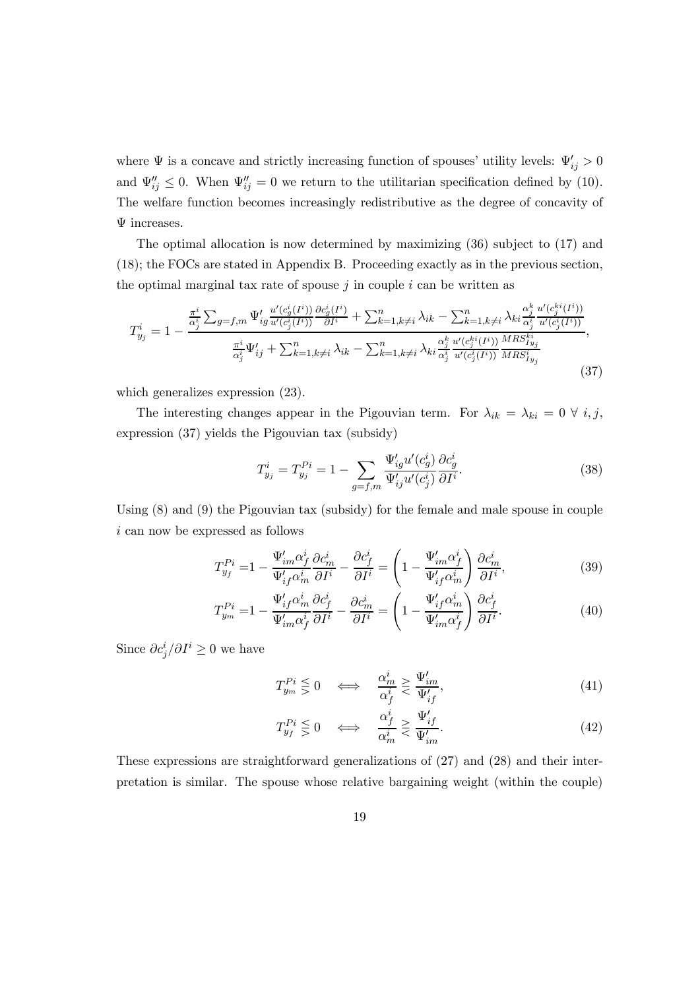where  $\Psi$  is a concave and strictly increasing function of spouses' utility levels:  $\Psi'_{ij} > 0$ and  $\Psi_{ij}'' \leq 0$ . When  $\Psi_{ij}'' = 0$  we return to the utilitarian specification defined by (10). The welfare function becomes increasingly redistributive as the degree of concavity of Ψ increases.

The optimal allocation is now determined by maximizing (36) subject to (17) and (18); the FOCs are stated in Appendix B. Proceeding exactly as in the previous section, the optimal marginal tax rate of spouse  $j$  in couple  $i$  can be written as

$$
T_{y_j}^i = 1 - \frac{\frac{\pi^i}{\alpha_j^i} \sum_{g=f,m} \Psi_{ig}^{\prime} \frac{u^{\prime}(c_g^i(I^i))}{u^{\prime}(c_j^i(I^i))} \frac{\partial c_g^i(I^i)}{\partial I^i} + \sum_{k=1,k\neq i}^n \lambda_{ik} - \sum_{k=1,k\neq i}^n \lambda_{ki} \frac{\alpha_j^k}{\alpha_j^i} \frac{u^{\prime}(c_j^{ki}(I^i))}{u^{\prime}(c_j^i(I^i))}}{\frac{\pi^i}{\alpha_j^i} \Psi_{ij}^{\prime} + \sum_{k=1,k\neq i}^n \lambda_{ik} - \sum_{k=1,k\neq i}^n \lambda_{ki} \frac{\alpha_j^k}{\alpha_j^i} \frac{u^{\prime}(c_j^{ki}(I^i))}{u^{\prime}(c_j^i(I^i))} \frac{MRS_{I_{y_j}}^{ki}}{MRS_{I_{y_j}}^i},
$$
\n(37)

which generalizes expression (23).

The interesting changes appear in the Pigouvian term. For  $\lambda_{ik} = \lambda_{ki} = 0 \ \forall \ i, j$ , expression (37) yields the Pigouvian tax (subsidy)

$$
T_{y_j}^i = T_{y_j}^{Pi} = 1 - \sum_{g=f,m} \frac{\Psi_{ig}' u'(c_g^i)}{\Psi_{ij}' u'(c_g^i)} \frac{\partial c_g^i}{\partial I^i}.
$$
 (38)

Using (8) and (9) the Pigouvian tax (subsidy) for the female and male spouse in couple  $i$  can now be expressed as follows

$$
T_{y_f}^{Pi} = 1 - \frac{\Psi'_{im}\alpha_f^i}{\Psi'_{if}\alpha_m^i} \frac{\partial c_m^i}{\partial I^i} - \frac{\partial c_f^i}{\partial I^i} = \left(1 - \frac{\Psi'_{im}\alpha_f^i}{\Psi'_{if}\alpha_m^i}\right) \frac{\partial c_m^i}{\partial I^i},\tag{39}
$$

$$
T_{y_m}^{Pi} = 1 - \frac{\Psi'_{if}\alpha_m^i}{\Psi'_{im}\alpha_f^i} \frac{\partial c_f^i}{\partial I^i} - \frac{\partial c_m^i}{\partial I^i} = \left(1 - \frac{\Psi'_{if}\alpha_m^i}{\Psi'_{im}\alpha_f^i}\right) \frac{\partial c_f^i}{\partial I^i}.
$$
 (40)

Since  $\partial c_j^i / \partial I^i \geq 0$  we have

$$
T_{y_m}^{Pi} \leq 0 \quad \Longleftrightarrow \quad \frac{\alpha_m^i}{\alpha_f^i} \geq \frac{\Psi_{im}'}{\Psi_{if}'},\tag{41}
$$

$$
T_{y_f}^{Pi} \leq 0 \quad \Longleftrightarrow \quad \frac{\alpha_f^i}{\alpha_m^i} \geq \frac{\Psi_{if}'}{\Psi_{im}'}.\tag{42}
$$

These expressions are straightforward generalizations of (27) and (28) and their interpretation is similar. The spouse whose relative bargaining weight (within the couple)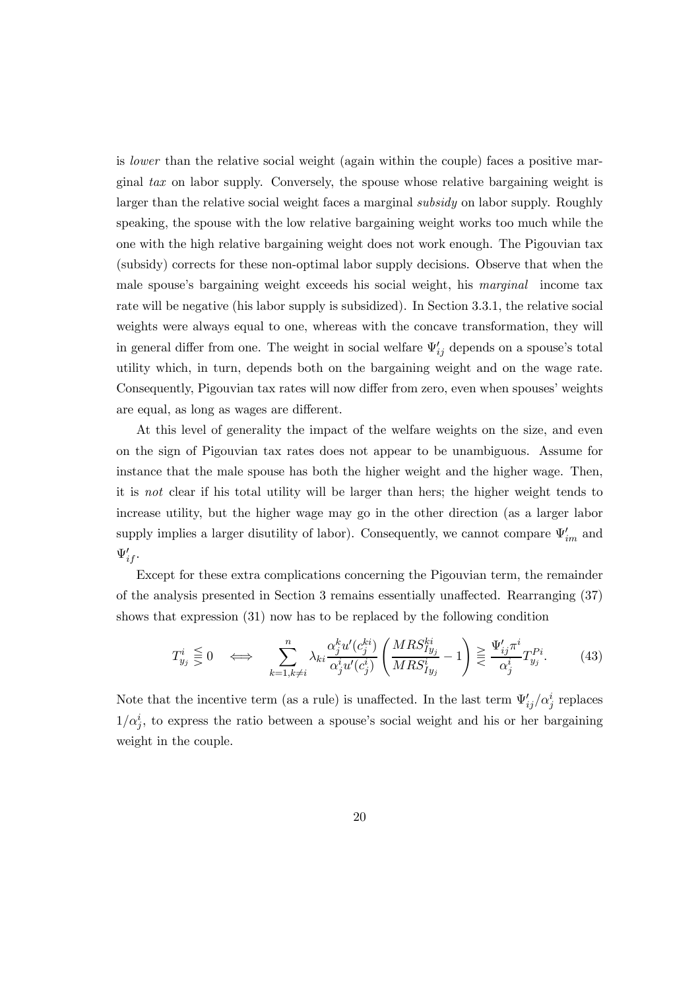is lower than the relative social weight (again within the couple) faces a positive marginal tax on labor supply. Conversely, the spouse whose relative bargaining weight is larger than the relative social weight faces a marginal *subsidy* on labor supply. Roughly speaking, the spouse with the low relative bargaining weight works too much while the one with the high relative bargaining weight does not work enough. The Pigouvian tax (subsidy) corrects for these non-optimal labor supply decisions. Observe that when the male spouse's bargaining weight exceeds his social weight, his *marginal* income tax rate will be negative (his labor supply is subsidized). In Section 3.3.1, the relative social weights were always equal to one, whereas with the concave transformation, they will in general differ from one. The weight in social welfare  $\Psi'_{ij}$  depends on a spouse's total utility which, in turn, depends both on the bargaining weight and on the wage rate. Consequently, Pigouvian tax rates will now differ from zero, even when spouses' weights are equal, as long as wages are different.

At this level of generality the impact of the welfare weights on the size, and even on the sign of Pigouvian tax rates does not appear to be unambiguous. Assume for instance that the male spouse has both the higher weight and the higher wage. Then, it is not clear if his total utility will be larger than hers; the higher weight tends to increase utility, but the higher wage may go in the other direction (as a larger labor supply implies a larger disutility of labor). Consequently, we cannot compare  $\Psi'_{im}$  and  $\Psi'_{if}$ .

Except for these extra complications concerning the Pigouvian term, the remainder of the analysis presented in Section 3 remains essentially unaffected. Rearranging (37) shows that expression (31) now has to be replaced by the following condition

$$
T_{y_j}^i \leq 0 \quad \Longleftrightarrow \quad \sum_{k=1, k \neq i}^n \lambda_{ki} \frac{\alpha_j^k u'(c_j^{ki})}{\alpha_j^i u'(c_j^i)} \left( \frac{MRS_{Iy_j}^{ki}}{MRS_{Iy_j}^i} - 1 \right) \geq \frac{\Psi'_{ij} \pi^i}{\alpha_j^i} T_{y_j}^{Pi}. \tag{43}
$$

Note that the incentive term (as a rule) is unaffected. In the last term  $\Psi'_{ij}/\alpha_j^i$  replaces  $1/\alpha_j^i$ , to express the ratio between a spouse's social weight and his or her bargaining weight in the couple.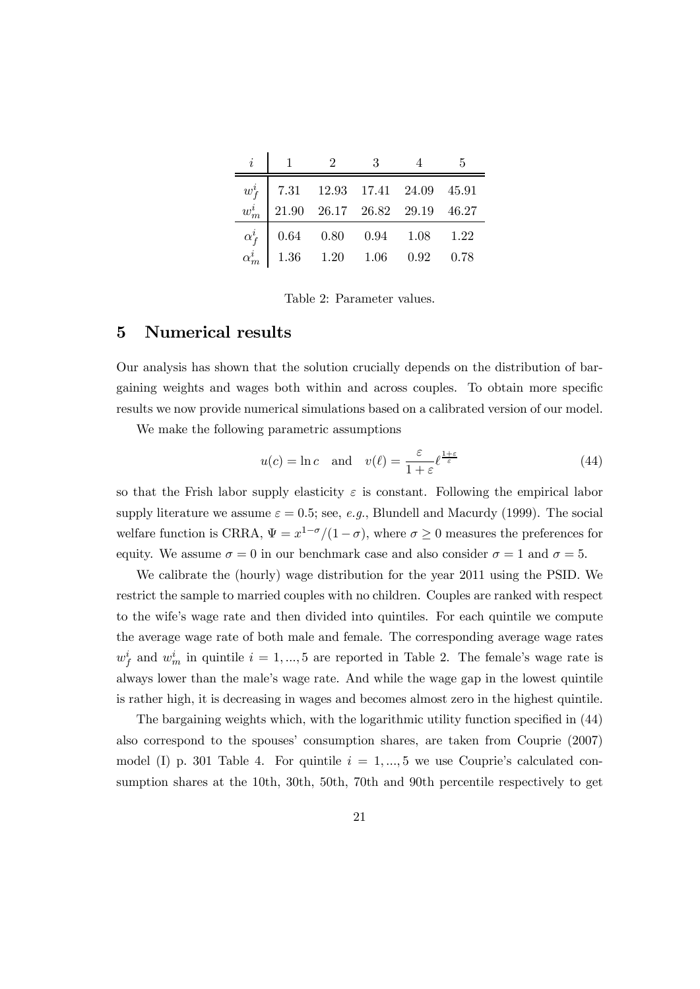|                      | $\overline{2}$ | 3 <sup>3</sup> |                                                                                                                | -5 |
|----------------------|----------------|----------------|----------------------------------------------------------------------------------------------------------------|----|
| $w_{\mathbf{f}}^{i}$ |                |                | $\begin{array}{ cccccc}7.31 & 12.93 & 17.41 & 24.09 & 45.91\\21.90 & 26.17 & 26.82 & 29.19 & 46.27\end{array}$ |    |
| $w_{m}^{i}$          |                |                |                                                                                                                |    |
| $\alpha_f^i$         |                |                | $0.64 \qquad 0.80 \qquad 0.94 \qquad 1.08 \qquad 1.22$                                                         |    |
|                      |                |                | $\begin{vmatrix} 1.36 & 1.20 & 1.06 & 0.92 & 0.78 \end{vmatrix}$                                               |    |

Table 2: Parameter values.

#### 5 Numerical results

Our analysis has shown that the solution crucially depends on the distribution of bargaining weights and wages both within and across couples. To obtain more specific results we now provide numerical simulations based on a calibrated version of our model.

We make the following parametric assumptions

$$
u(c) = \ln c \quad \text{and} \quad v(\ell) = \frac{\varepsilon}{1 + \varepsilon} \ell^{\frac{1 + \varepsilon}{\varepsilon}}
$$
(44)

so that the Frish labor supply elasticity  $\varepsilon$  is constant. Following the empirical labor supply literature we assume  $\varepsilon = 0.5$ ; see, e.g., Blundell and Macurdy (1999). The social welfare function is CRRA,  $\Psi = x^{1-\sigma}/(1-\sigma)$ , where  $\sigma \geq 0$  measures the preferences for equity. We assume  $\sigma = 0$  in our benchmark case and also consider  $\sigma = 1$  and  $\sigma = 5$ .

We calibrate the (hourly) wage distribution for the year 2011 using the PSID. We restrict the sample to married couples with no children. Couples are ranked with respect to the wife's wage rate and then divided into quintiles. For each quintile we compute the average wage rate of both male and female. The corresponding average wage rates  $w_f^i$  and  $w_m^i$  in quintile  $i = 1, ..., 5$  are reported in Table 2. The female's wage rate is always lower than the male's wage rate. And while the wage gap in the lowest quintile is rather high, it is decreasing in wages and becomes almost zero in the highest quintile.

The bargaining weights which, with the logarithmic utility function specified in (44) also correspond to the spouses' consumption shares, are taken from Couprie (2007) model (I) p. 301 Table 4. For quintile  $i = 1, ..., 5$  we use Couprie's calculated consumption shares at the 10th, 30th, 50th, 70th and 90th percentile respectively to get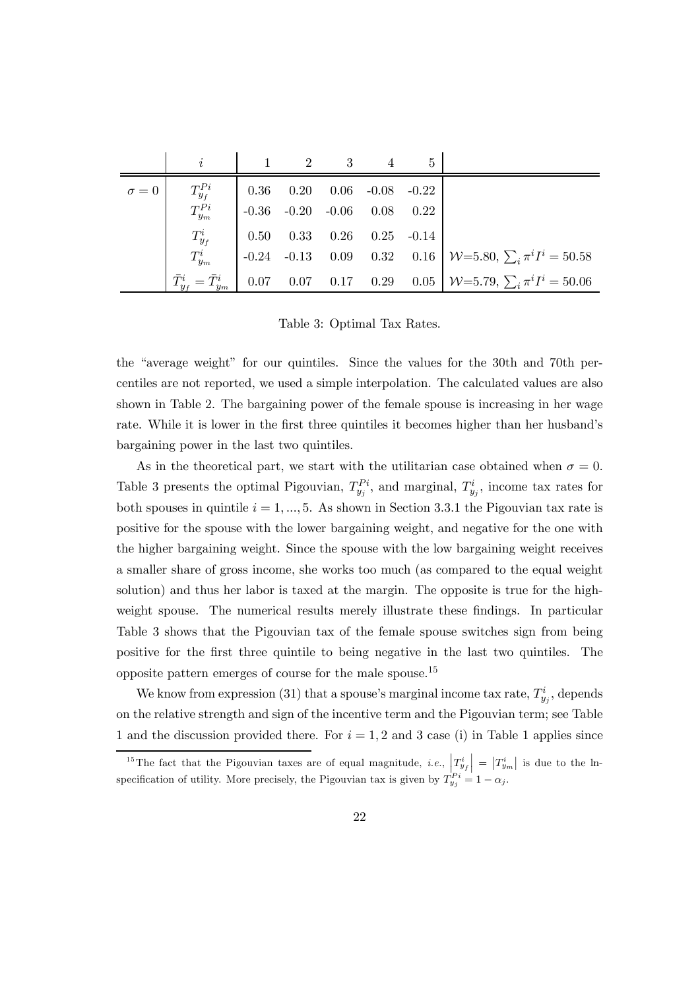|              | $\dot{i}$                           |                                     | $\mathcal{D}$ | 3                             | 5 |                                                                  |
|--------------|-------------------------------------|-------------------------------------|---------------|-------------------------------|---|------------------------------------------------------------------|
| $\sigma = 0$ | $T^{Pi}_{y_f}$                      | 0.36                                |               | $0.20$ $0.06$ $-0.08$ $-0.22$ |   |                                                                  |
|              | $T^{Pi}_{y_m}$                      | $\vert$ -0.36 -0.20 -0.06 0.08 0.22 |               |                               |   |                                                                  |
|              | $T^i_{y_f}$                         | $\mid$ 0.50                         |               | $0.33$ $0.26$ $0.25$ $-0.14$  |   |                                                                  |
|              | $T^i_{y_m}$                         |                                     |               |                               |   | -0.24 -0.13 0.09 0.32 0.16 $W=5.80$ , $\sum_i \pi^i I^i = 50.58$ |
|              | $\bar{T}_{y_f}^i = \bar{T}_{y_m}^i$ |                                     |               |                               |   | 0.07 0.07 0.17 0.29 0.05 $W=5.79$ , $\sum_i \pi^i I^i = 50.06$   |

Table 3: Optimal Tax Rates.

the "average weight" for our quintiles. Since the values for the 30th and 70th percentiles are not reported, we used a simple interpolation. The calculated values are also shown in Table 2. The bargaining power of the female spouse is increasing in her wage rate. While it is lower in the first three quintiles it becomes higher than her husband's bargaining power in the last two quintiles.

As in the theoretical part, we start with the utilitarian case obtained when  $\sigma = 0$ . Table 3 presents the optimal Pigouvian,  $T_{y_j}^{P_i}$ , and marginal,  $T_{y_j}^i$ , income tax rates for both spouses in quintile  $i = 1, ..., 5$ . As shown in Section 3.3.1 the Pigouvian tax rate is positive for the spouse with the lower bargaining weight, and negative for the one with the higher bargaining weight. Since the spouse with the low bargaining weight receives a smaller share of gross income, she works too much (as compared to the equal weight solution) and thus her labor is taxed at the margin. The opposite is true for the highweight spouse. The numerical results merely illustrate these findings. In particular Table 3 shows that the Pigouvian tax of the female spouse switches sign from being positive for the first three quintile to being negative in the last two quintiles. The opposite pattern emerges of course for the male spouse.15

We know from expression (31) that a spouse's marginal income tax rate,  $T_{y_j}^i$ , depends on the relative strength and sign of the incentive term and the Pigouvian term; see Table 1 and the discussion provided there. For  $i = 1, 2$  and 3 case (i) in Table 1 applies since

<sup>&</sup>lt;sup>15</sup>The fact that the Pigouvian taxes are of equal magnitude, *i.e.*,  $\left|\frac{T_{y_f}^i}{T_{y_f}^i}\right| = \left|\frac{T_{y_m}^i}{T_{y_m}^i}\right|$  is due to the lnspecification of utility. More precisely, the Pigouvian tax is given by  $T_{y_j}^{P_i} = 1 - \alpha_j$ .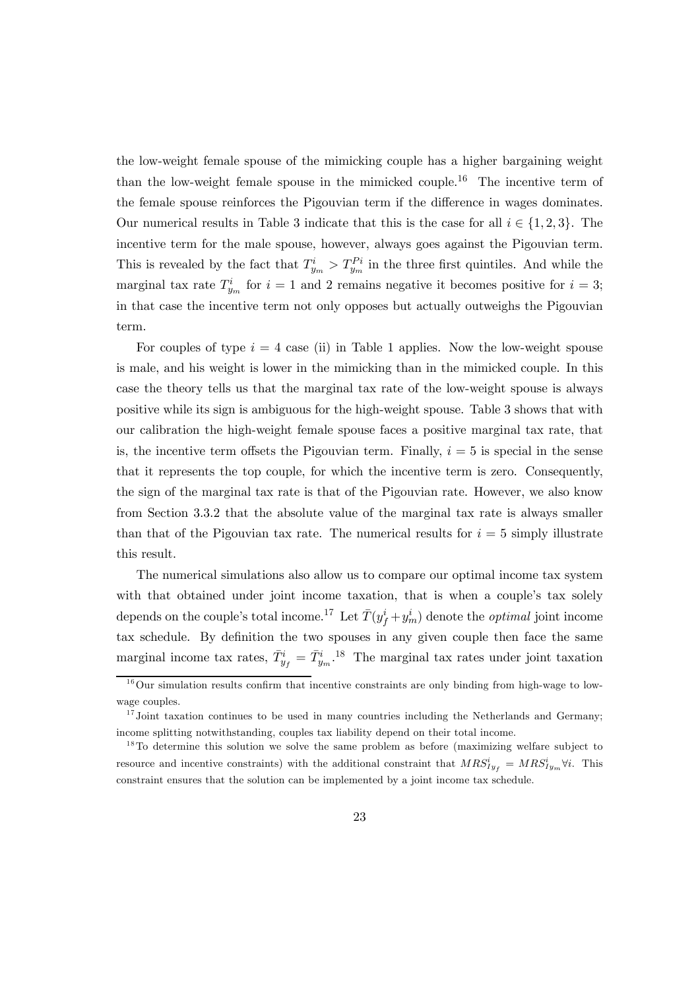the low-weight female spouse of the mimicking couple has a higher bargaining weight than the low-weight female spouse in the mimicked couple.<sup>16</sup> The incentive term of the female spouse reinforces the Pigouvian term if the difference in wages dominates. Our numerical results in Table 3 indicate that this is the case for all  $i \in \{1, 2, 3\}$ . The incentive term for the male spouse, however, always goes against the Pigouvian term. This is revealed by the fact that  $T_{y_m}^i > T_{y_m}^{Pi}$  in the three first quintiles. And while the marginal tax rate  $T_{y_m}^i$  for  $i=1$  and 2 remains negative it becomes positive for  $i=3$ ; in that case the incentive term not only opposes but actually outweighs the Pigouvian term.

For couples of type  $i = 4$  case (ii) in Table 1 applies. Now the low-weight spouse is male, and his weight is lower in the mimicking than in the mimicked couple. In this case the theory tells us that the marginal tax rate of the low-weight spouse is always positive while its sign is ambiguous for the high-weight spouse. Table 3 shows that with our calibration the high-weight female spouse faces a positive marginal tax rate, that is, the incentive term offsets the Pigouvian term. Finally,  $i = 5$  is special in the sense that it represents the top couple, for which the incentive term is zero. Consequently, the sign of the marginal tax rate is that of the Pigouvian rate. However, we also know from Section 3.3.2 that the absolute value of the marginal tax rate is always smaller than that of the Pigouvian tax rate. The numerical results for  $i = 5$  simply illustrate this result.

The numerical simulations also allow us to compare our optimal income tax system with that obtained under joint income taxation, that is when a couple's tax solely depends on the couple's total income.<sup>17</sup> Let  $\bar{T}(y_f^i + y_m^i)$  denote the *optimal* joint income tax schedule. By definition the two spouses in any given couple then face the same marginal income tax rates,  $\bar{T}_{y_f}^i = \bar{T}_{y_m}^i$ .<sup>18</sup> The marginal tax rates under joint taxation

 $16$ Our simulation results confirm that incentive constraints are only binding from high-wage to lowwage couples.

 $17$  Joint taxation continues to be used in many countries including the Netherlands and Germany; income splitting notwithstanding, couples tax liability depend on their total income.

 $18$ To determine this solution we solve the same problem as before (maximizing welfare subject to resource and incentive constraints) with the additional constraint that  $MRS<sub>Iy<sub>f</sub></sub><sup>i</sup> = MRS<sub>Iy<sub>m</sub></sub><sup>i</sup> \forall i$ . This constraint ensures that the solution can be implemented by a joint income tax schedule.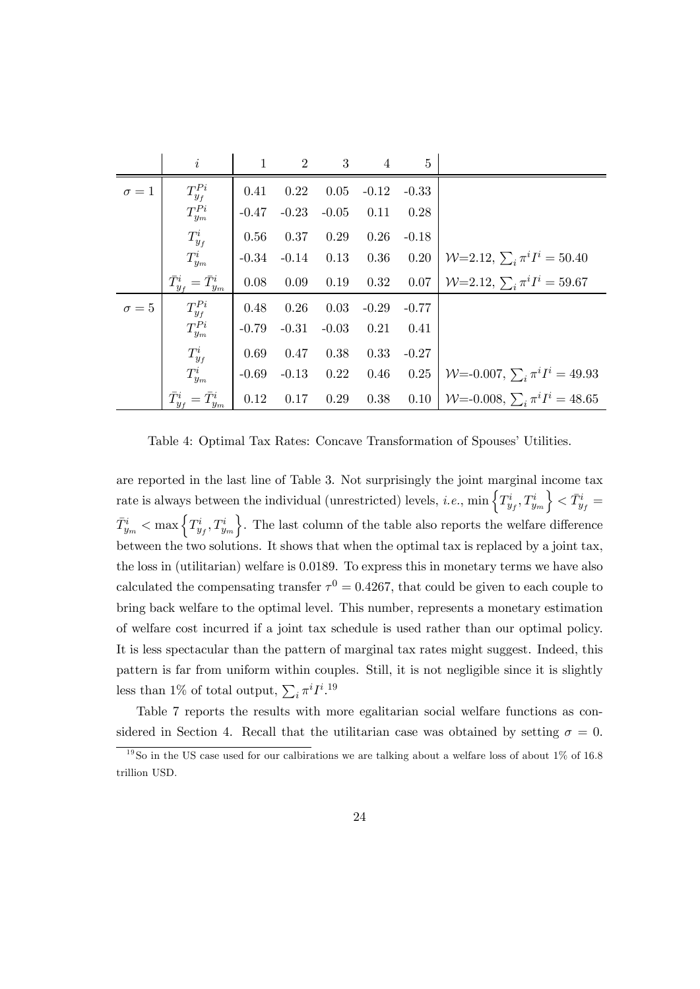|              | $\dot{i}$                           | $\mathbf{1}$ | $\overline{2}$   | $\overline{\phantom{a}3}$ | $\overline{4}$                | $\overline{5}$ |                                                 |
|--------------|-------------------------------------|--------------|------------------|---------------------------|-------------------------------|----------------|-------------------------------------------------|
| $\sigma=1$   | $T^{Pi}_{y_f}$                      | 0.41         | 0.22             | 0.05                      |                               | $-0.12 - 0.33$ |                                                 |
|              | ${\cal T}^{Pi}_{ym}$                | $-0.47$      |                  | $-0.23 - 0.05$            | 0.11                          | 0.28           |                                                 |
|              | $T^i_{y_f}$                         | 0.56         | 0.37             | 0.29                      | 0.26                          | $-0.18$        |                                                 |
|              | $T_{y_m}^i$                         |              |                  |                           | $-0.34$ $-0.14$ $0.13$ $0.36$ | 0.20           | $W=2.12, \sum_i \pi^i I^i = 50.40$              |
|              | $\bar{T}_{y_f}^i = \bar{T}_{y_m}^i$ |              | $0.08$ 0.09 0.19 |                           | 0.32                          | 0.07           | $W=2.12, \sum_i \pi^i I^i = 59.67$              |
| $\sigma = 5$ | $T^{Pi}_{y_f}$                      | 0.48         | 0.26             | 0.03                      | $-0.29$                       | $-0.77$        |                                                 |
|              | $T^{Pi}_{y_m}$                      | $-0.79$      | $-0.31$          | $-0.03$                   | 0.21                          | 0.41           |                                                 |
|              | $T^i_{y_f}$                         | 0.69         | 0.47             | 0.38                      | 0.33                          | $-0.27$        |                                                 |
|              | $T_{y_m}^i$                         | $-0.69$      | $-0.13$ 0.22     |                           | 0.46                          |                | 0.25   $W = 0.007$ , $\sum_i \pi^i I^i = 49.93$ |
|              | $\bar{T}_{y_f}^i = \bar{T}_{y_m}^i$ | 0.12         | 0.17             | 0.29                      | 0.38                          |                | 0.10   $W = 0.008$ , $\sum_i \pi^i I^i = 48.65$ |

Table 4: Optimal Tax Rates: Concave Transformation of Spouses' Utilities.

are reported in the last line of Table 3. Not surprisingly the joint marginal income tax rate is always between the individual (unrestricted) levels, *i.e.*,  $\min \left\{ T_{y_f}^i, T_{y_m}^i \right\}$  $\Big\} < \bar{T}_{y_f}^i =$  $\bar{T}_{y_m}^i < \max\left\{T_{y_f}^i,T_{y_m}^i\right\}$  $\}$ . The last column of the table also reports the welfare difference between the two solutions. It shows that when the optimal tax is replaced by a joint tax, the loss in (utilitarian) welfare is 0.0189. To express this in monetary terms we have also calculated the compensating transfer  $\tau^0 = 0.4267$ , that could be given to each couple to bring back welfare to the optimal level. This number, represents a monetary estimation of welfare cost incurred if a joint tax schedule is used rather than our optimal policy. It is less spectacular than the pattern of marginal tax rates might suggest. Indeed, this pattern is far from uniform within couples. Still, it is not negligible since it is slightly less than 1% of total output,  $\sum_i \pi^i I^{i.19}$ 

Table 7 reports the results with more egalitarian social welfare functions as considered in Section 4. Recall that the utilitarian case was obtained by setting  $\sigma = 0$ .

 $19$ So in the US case used for our calbirations we are talking about a welfare loss of about 1\% of 16.8 trillion USD.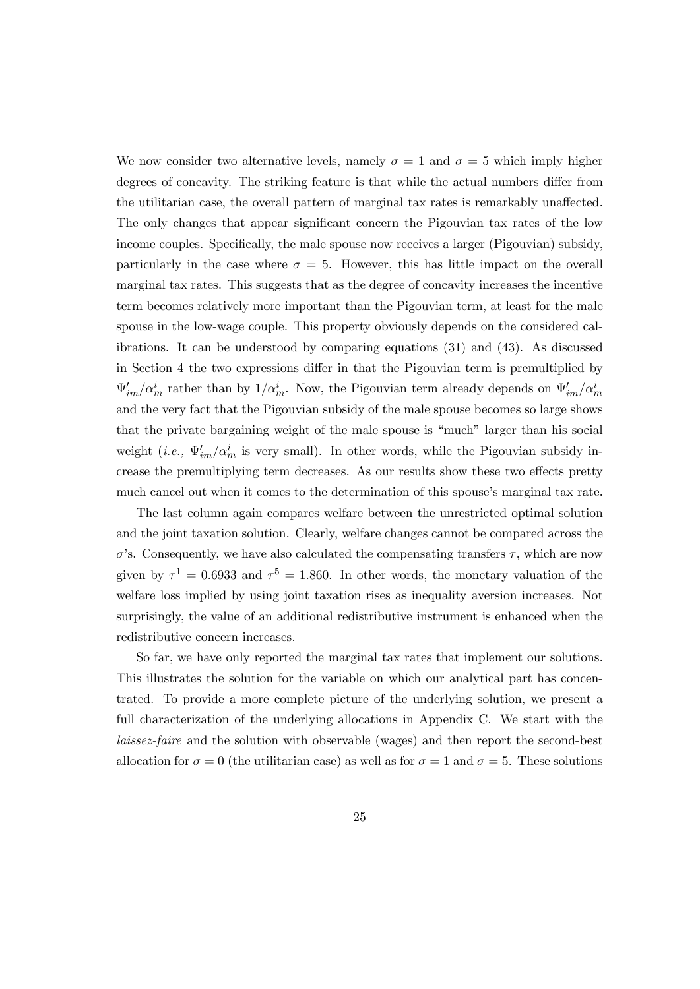We now consider two alternative levels, namely  $\sigma = 1$  and  $\sigma = 5$  which imply higher degrees of concavity. The striking feature is that while the actual numbers differ from the utilitarian case, the overall pattern of marginal tax rates is remarkably unaffected. The only changes that appear significant concern the Pigouvian tax rates of the low income couples. Specifically, the male spouse now receives a larger (Pigouvian) subsidy, particularly in the case where  $\sigma = 5$ . However, this has little impact on the overall marginal tax rates. This suggests that as the degree of concavity increases the incentive term becomes relatively more important than the Pigouvian term, at least for the male spouse in the low-wage couple. This property obviously depends on the considered calibrations. It can be understood by comparing equations (31) and (43). As discussed in Section 4 the two expressions differ in that the Pigouvian term is premultiplied by  $\Psi'_{im}/\alpha_m^i$  rather than by  $1/\alpha_m^i$ . Now, the Pigouvian term already depends on  $\Psi'_{im}/\alpha_m^i$ and the very fact that the Pigouvian subsidy of the male spouse becomes so large shows that the private bargaining weight of the male spouse is "much" larger than his social weight (*i.e.*,  $\Psi'_{im}/\alpha_m^i$  is very small). In other words, while the Pigouvian subsidy increase the premultiplying term decreases. As our results show these two effects pretty much cancel out when it comes to the determination of this spouse's marginal tax rate.

The last column again compares welfare between the unrestricted optimal solution and the joint taxation solution. Clearly, welfare changes cannot be compared across the  $\sigma$ 's. Consequently, we have also calculated the compensating transfers  $\tau$ , which are now given by  $\tau^1 = 0.6933$  and  $\tau^5 = 1.860$ . In other words, the monetary valuation of the welfare loss implied by using joint taxation rises as inequality aversion increases. Not surprisingly, the value of an additional redistributive instrument is enhanced when the redistributive concern increases.

So far, we have only reported the marginal tax rates that implement our solutions. This illustrates the solution for the variable on which our analytical part has concentrated. To provide a more complete picture of the underlying solution, we present a full characterization of the underlying allocations in Appendix C. We start with the laissez-faire and the solution with observable (wages) and then report the second-best allocation for  $\sigma = 0$  (the utilitarian case) as well as for  $\sigma = 1$  and  $\sigma = 5$ . These solutions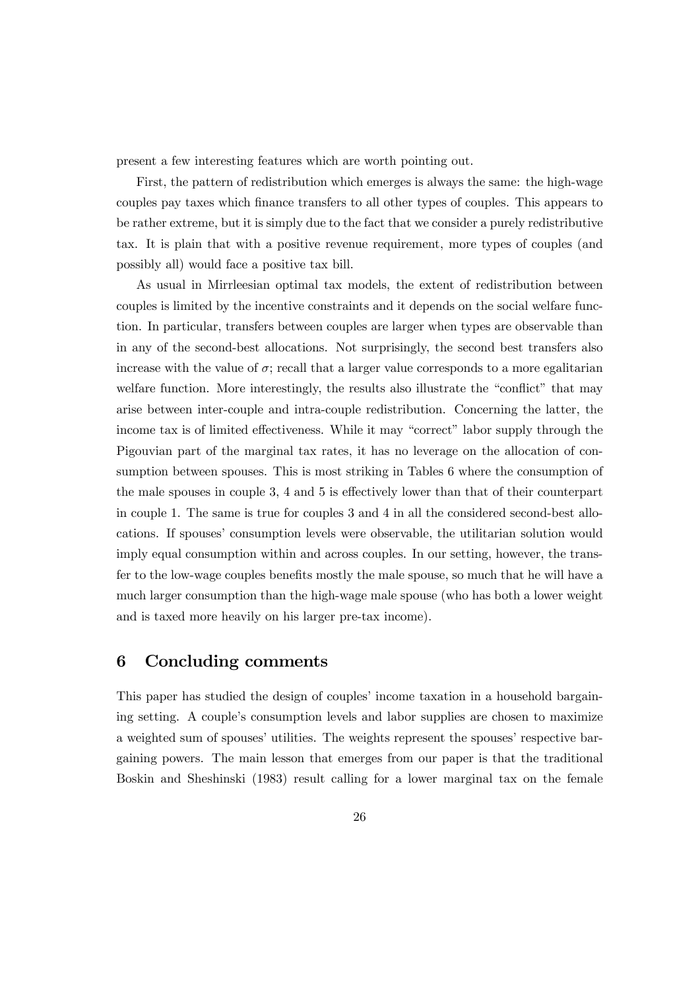present a few interesting features which are worth pointing out.

First, the pattern of redistribution which emerges is always the same: the high-wage couples pay taxes which finance transfers to all other types of couples. This appears to be rather extreme, but it is simply due to the fact that we consider a purely redistributive tax. It is plain that with a positive revenue requirement, more types of couples (and possibly all) would face a positive tax bill.

As usual in Mirrleesian optimal tax models, the extent of redistribution between couples is limited by the incentive constraints and it depends on the social welfare function. In particular, transfers between couples are larger when types are observable than in any of the second-best allocations. Not surprisingly, the second best transfers also increase with the value of  $\sigma$ ; recall that a larger value corresponds to a more egalitarian welfare function. More interestingly, the results also illustrate the "conflict" that may arise between inter-couple and intra-couple redistribution. Concerning the latter, the income tax is of limited effectiveness. While it may "correct" labor supply through the Pigouvian part of the marginal tax rates, it has no leverage on the allocation of consumption between spouses. This is most striking in Tables 6 where the consumption of the male spouses in couple 3, 4 and 5 is effectively lower than that of their counterpart in couple 1. The same is true for couples 3 and 4 in all the considered second-best allocations. If spouses' consumption levels were observable, the utilitarian solution would imply equal consumption within and across couples. In our setting, however, the transfer to the low-wage couples benefits mostly the male spouse, so much that he will have a much larger consumption than the high-wage male spouse (who has both a lower weight and is taxed more heavily on his larger pre-tax income).

#### 6 Concluding comments

This paper has studied the design of couples' income taxation in a household bargaining setting. A couple's consumption levels and labor supplies are chosen to maximize a weighted sum of spouses' utilities. The weights represent the spouses' respective bargaining powers. The main lesson that emerges from our paper is that the traditional Boskin and Sheshinski (1983) result calling for a lower marginal tax on the female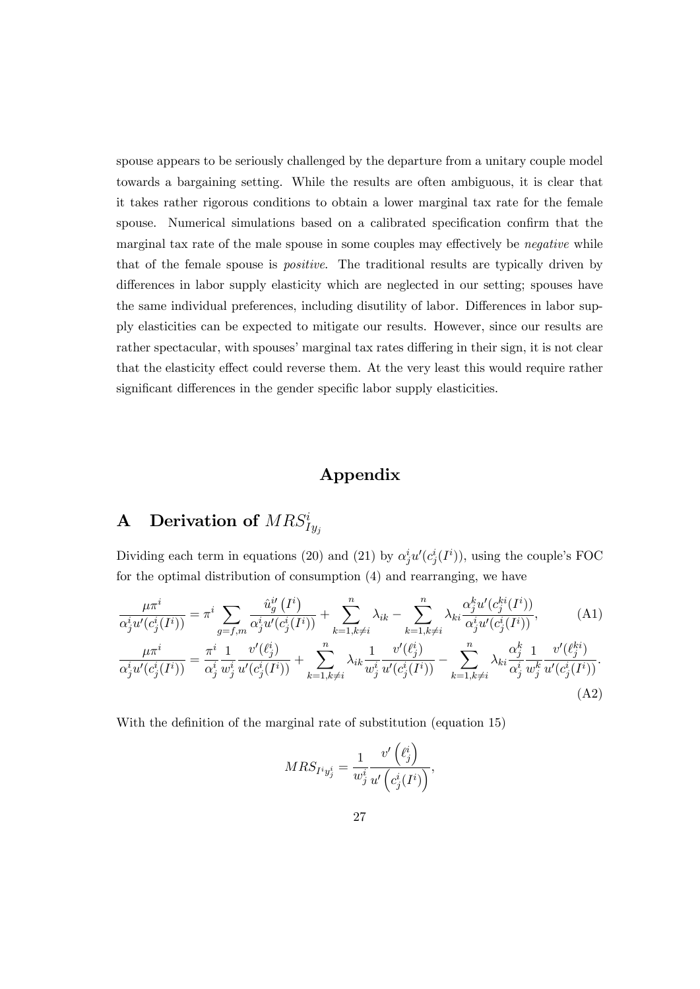spouse appears to be seriously challenged by the departure from a unitary couple model towards a bargaining setting. While the results are often ambiguous, it is clear that it takes rather rigorous conditions to obtain a lower marginal tax rate for the female spouse. Numerical simulations based on a calibrated specification confirm that the marginal tax rate of the male spouse in some couples may effectively be negative while that of the female spouse is positive. The traditional results are typically driven by differences in labor supply elasticity which are neglected in our setting; spouses have the same individual preferences, including disutility of labor. Differences in labor supply elasticities can be expected to mitigate our results. However, since our results are rather spectacular, with spouses' marginal tax rates differing in their sign, it is not clear that the elasticity effect could reverse them. At the very least this would require rather significant differences in the gender specific labor supply elasticities.

## Appendix

# **A** Derivation of  $MRS_{Iy_j}^i$

Dividing each term in equations (20) and (21) by  $\alpha_j^i u'(c_j^i(I^i))$ , using the couple's FOC for the optimal distribution of consumption (4) and rearranging, we have

$$
\frac{\mu \pi^i}{\alpha_j^i u'(c_j^i(I^i))} = \pi^i \sum_{g=f,m} \frac{\hat{u}_g^{i'}(I^i)}{\alpha_j^i u'(c_j^i(I^i))} + \sum_{k=1, k \neq i}^n \lambda_{ik} - \sum_{k=1, k \neq i}^n \lambda_{ki} \frac{\alpha_j^k u'(c_j^k(I^i))}{\alpha_j^i u'(c_j^i(I^i))},
$$
\n(A1)\n
$$
\frac{\mu \pi^i}{\alpha_j^i u'(c_j^i(I^i))} = \frac{\pi^i}{\alpha_j^i} \frac{1}{w_j^i} \frac{v'(l^i_j)}{u'(c_j^i(I^i))} + \sum_{k=1, k \neq i}^n \lambda_{ik} \frac{1}{w_j^i} \frac{v'(l^i_j)}{u'(c_j^i(I^i))} - \sum_{k=1, k \neq i}^n \lambda_{ki} \frac{\alpha_j^k}{\alpha_j^i} \frac{1}{w_j^k} \frac{v'(l^k_i)}{u'(c_j^i(I^i))}.
$$
\n(A2)

With the definition of the marginal rate of substitution (equation 15)

$$
MRS_{I^i y_j^i} = \frac{1}{w_j^i} \frac{v' \left( \ell_j^i \right)}{u' \left( c_j^i(I^i) \right)},
$$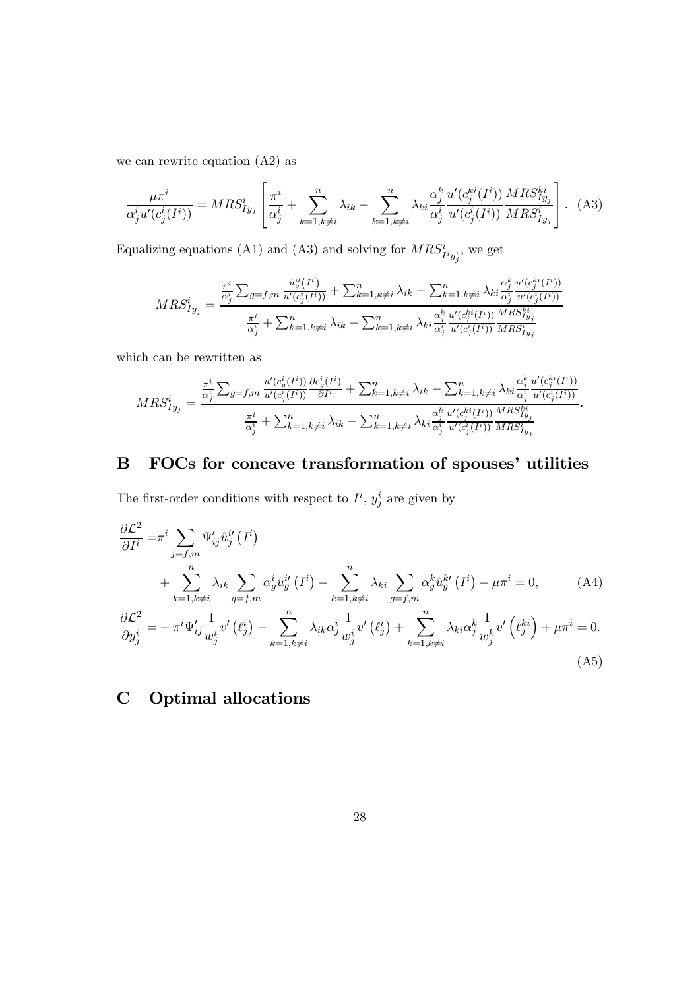we can rewrite equation (A2) as

$$
\frac{\mu \pi^i}{\alpha_j^i u'(c_j^i(I^i))} = MRS_{Iy_j}^i \left[ \frac{\pi^i}{\alpha_j^i} + \sum_{k=1, k \neq i}^n \lambda_{ik} - \sum_{k=1, k \neq i}^n \lambda_{ki} \frac{\alpha_j^k}{\alpha_j^i} \frac{u'(c_j^{ki}(I^i))}{u'(c_j^i(I^i))} \frac{MRS_{Iy_j}^{ki}}{MRS_{Iy_j}^i} \right].
$$
 (A3)

Equalizing equations (A1) and (A3) and solving for  $MRS^{i}_{I^{i}y^{i}_{j}}$ , we get

$$
MRS_{Iy_j}^i = \frac{\frac{\pi^i}{\alpha_j^i} \sum_{g=f,m} \frac{\hat{u}_g^i(I^i)}{u'(c_j^i(I^i))} + \sum_{k=1, k \neq i}^n \lambda_{ik} - \sum_{k=1, k \neq i}^n \lambda_{ki} \frac{\alpha_j^k}{\alpha_j^i} \frac{u'(c_j^{k}(I^i))}{u'(c_j^i(I^i))}}{\frac{\pi^i}{\alpha_j^i} + \sum_{k=1, k \neq i}^n \lambda_{ik} - \sum_{k=1, k \neq i}^n \lambda_{ki} \frac{\alpha_j^k}{\alpha_j^i} \frac{u'(c_j^{k}(I^i))}{u'(c_j^i(I^i))} \frac{MRS_{Iy_j}^{ki}}{MRS_{Iy_j}^i}}
$$

which can be rewritten as

$$
MRS_{Iy_j}^i = \frac{\frac{\pi^i}{\alpha_j^i} \sum_{g=f,m} \frac{u'(c_g^i(I^i))}{u'(c_g^i(I^i))} \frac{\partial c_g^i(I^i)}{\partial I^i} + \sum_{k=1,k\neq i}^n \lambda_{ik} - \sum_{k=1,k\neq i}^n \lambda_{ki} \frac{\alpha_j^k}{\alpha_j^i} \frac{u'(c_g^{ki}(I^i))}{u'(c_g^i(I^i))}}{\frac{\pi^i}{\alpha_j^i} + \sum_{k=1,k\neq i}^n \lambda_{ik} - \sum_{k=1,k\neq i}^n \lambda_{ki} \frac{\alpha_j^k}{\alpha_j^i} \frac{u'(c_g^{ki}(I^i))}{u'(c_g^i(I^i))} \frac{MRS_{Iy_j}^{ki}}{MRS_{Iy_j}^{i}} }.
$$

# B FOCs for concave transformation of spouses' utilities

The first-order conditions with respect to  $I^i$ ,  $y_j^i$  are given by

$$
\frac{\partial \mathcal{L}^2}{\partial I^i} = \pi^i \sum_{j=f,m} \Psi'_{ij} \hat{u}^{ij}_j (I^i)
$$
  
+ 
$$
\sum_{k=1, k \neq i}^n \lambda_{ik} \sum_{g=f,m} \alpha^i_g \hat{u}^{ij}_g (I^i) - \sum_{k=1, k \neq i}^n \lambda_{ki} \sum_{g=f,m} \alpha^k_g \hat{u}^{kj}_g (I^i) - \mu \pi^i = 0,
$$
 (A4)  

$$
\frac{\partial \mathcal{L}^2}{\partial y^i_j} = -\pi^i \Psi'_{ij} \frac{1}{w^i_j} v' (\ell^i_j) - \sum_{k=1, k \neq i}^n \lambda_{ik} \alpha^i_j \frac{1}{w^i_j} v' (\ell^i_j) + \sum_{k=1, k \neq i}^n \lambda_{ki} \alpha^k_j \frac{1}{w^k_j} v' (\ell^{ki}_j) + \mu \pi^i = 0.
$$
 (A5)

# C Optimal allocations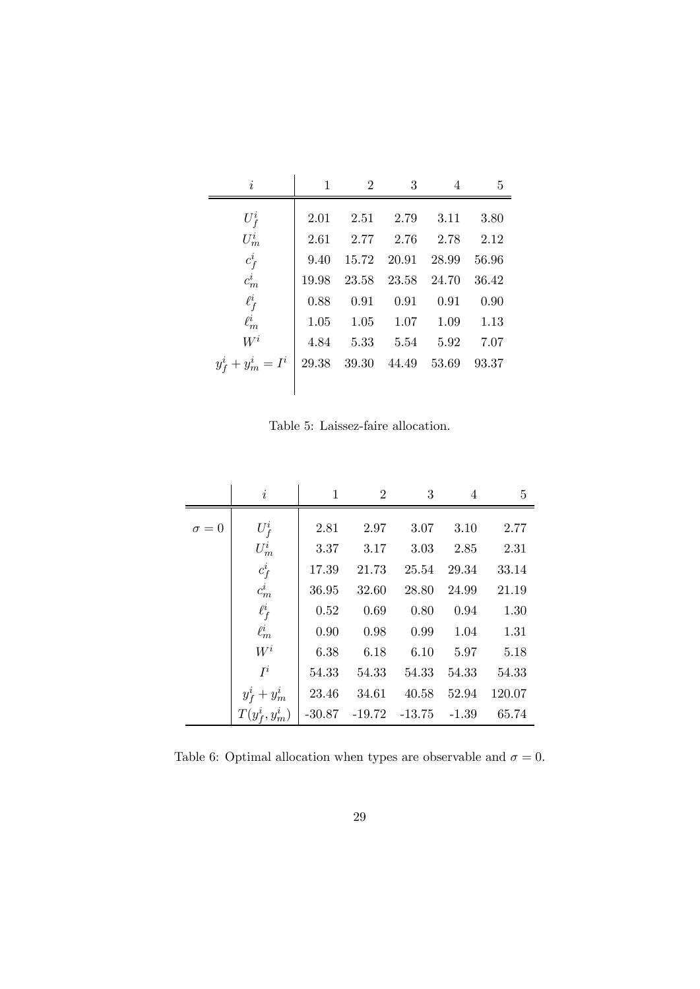| $\dot{i}$                                    | $\mathbf{1}$ | $\overline{2}$ | 3                                  | 4             | 5     |
|----------------------------------------------|--------------|----------------|------------------------------------|---------------|-------|
| $U_f^i$                                      | 2.01         |                | 2.51 2.79 3.11                     |               | 3.80  |
| $U_m^i$                                      |              |                | 2.61 2.77 2.76 2.78 2.12           |               |       |
| $\begin{array}{c} c_f^i\\ c_m^i \end{array}$ | 9.40         |                | 15.72 20.91 28.99                  |               | 56.96 |
|                                              |              |                | 19.98 23.58 23.58 24.70            |               | 36.42 |
| $\ell_f^i$                                   | 0.88         | 0.91           |                                    | $0.91$ $0.91$ | 0.90  |
| $\ell^i_m$                                   |              |                | $1.05$ $1.05$ $1.07$ $1.09$ $1.13$ |               |       |
| $W^i$                                        | 4.84         |                | $5.33$ $5.54$ $5.92$ $7.07$        |               |       |
| $y_f^i + y_m^i = I^i$                        |              |                | 29.38 39.30 44.49 53.69            |               | 93.37 |
|                                              |              |                |                                    |               |       |

Table 5: Laissez-faire allocation.

|              | $\dot{i}$                                    | $\mathbf{1}$ | $\overline{2}$                           | 3     | $\overline{4}$ | 5                    |
|--------------|----------------------------------------------|--------------|------------------------------------------|-------|----------------|----------------------|
| $\sigma = 0$ | $U_f^i$                                      |              | 2.81 2.97                                | 3.07  | 3.10           | 2.77                 |
|              | $\mathcal{U}_m^i$                            |              | $3.37 \qquad 3.17 \qquad 3.03$           |       |                | 2.85 2.31            |
|              | $\begin{array}{c} c^i_f\\ c^i_m \end{array}$ |              | 17.39 21.73                              |       | 25.54 29.34    | 33.14                |
|              |                                              |              | 36.95 32.60                              | 28.80 | 24.99          | 21.19                |
|              | $\ell_f^i$                                   |              | $0.52$ $0.69$ $0.80$                     |       |                | $0.94$ 1.30          |
|              | $\ell^i_m$                                   | 0.90         | 0.98                                     |       |                | $0.99$ $1.04$ $1.31$ |
|              | $W^i$                                        |              | 6.38 6.18 6.10 5.97 5.18                 |       |                |                      |
|              | $I^i$                                        |              | 54.33 54.33 54.33                        |       | 54.33          | 54.33                |
|              | $y_f^i + y_m^i$                              |              | $23.46$ $34.61$ $40.58$ $52.94$ $120.07$ |       |                |                      |
|              | $T(y_f^i, y_m^i)$ -30.87 -19.72 -13.75 -1.39 |              |                                          |       |                | 65.74                |

Table 6: Optimal allocation when types are observable and  $\sigma = 0$ .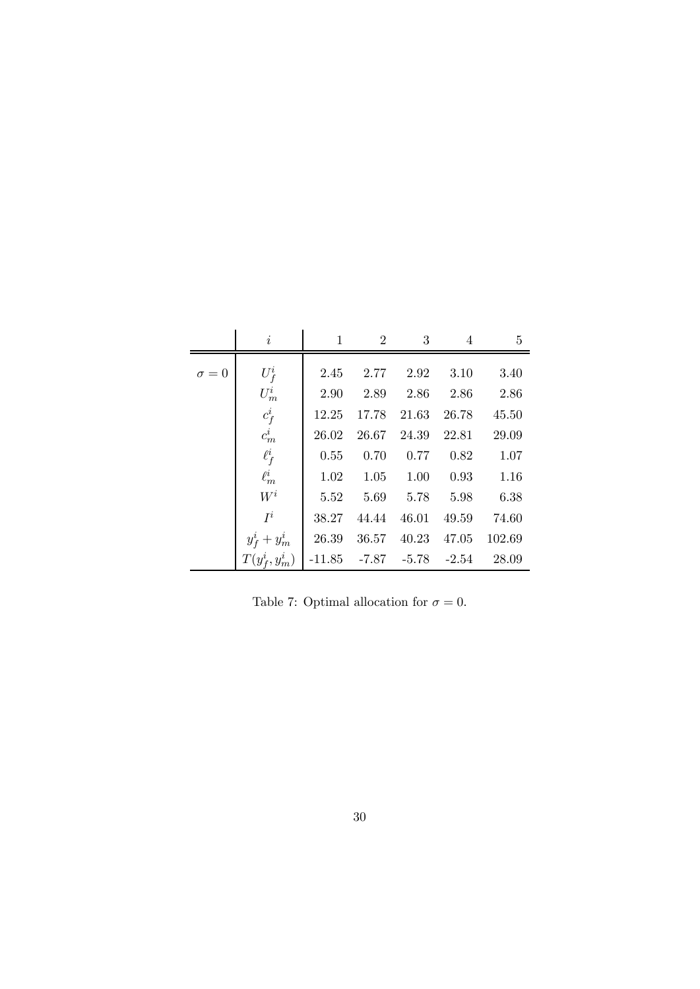|              | $\dot{i}$                                                                  | $1 \qquad \qquad$ | $2 \qquad 3 \qquad 4$ |                             | 5                                  |
|--------------|----------------------------------------------------------------------------|-------------------|-----------------------|-----------------------------|------------------------------------|
| $\sigma = 0$ | $U_f^i$                                                                    |                   |                       | $2.45$ $2.77$ $2.92$ $3.10$ | 3.40                               |
|              | $U_m^i$                                                                    |                   |                       |                             | 2.90 2.89 2.86 2.86 2.86           |
|              | $\frac{c_f^i}{c_m^i}$                                                      |                   |                       |                             | 12.25 17.78 21.63 26.78 45.50      |
|              |                                                                            |                   |                       |                             | 26.02 26.67 24.39 22.81 29.09      |
|              | $\ell_f^i$                                                                 |                   |                       |                             | $0.55$ $0.70$ $0.77$ $0.82$ $1.07$ |
|              | $\ell_m^i$                                                                 |                   |                       |                             | $1.02$ $1.05$ $1.00$ $0.93$ $1.16$ |
|              | ${\cal W}^i$                                                               |                   |                       |                             | 5.52 5.69 5.78 5.98 6.38           |
|              | $I^i$                                                                      |                   |                       |                             | 38.27 44.44 46.01 49.59 74.60      |
|              | $y_f^i + y_m^i \ \big  \ \ 26.39 \ \ 36.57 \ \ 40.23 \ \ 47.05 \ \ 102.69$ |                   |                       |                             |                                    |
|              | $T(y_f^i, y_m^i)$ -11.85 -7.87 -5.78 -2.54 28.09                           |                   |                       |                             |                                    |

Table 7: Optimal allocation for  $\sigma = 0$ .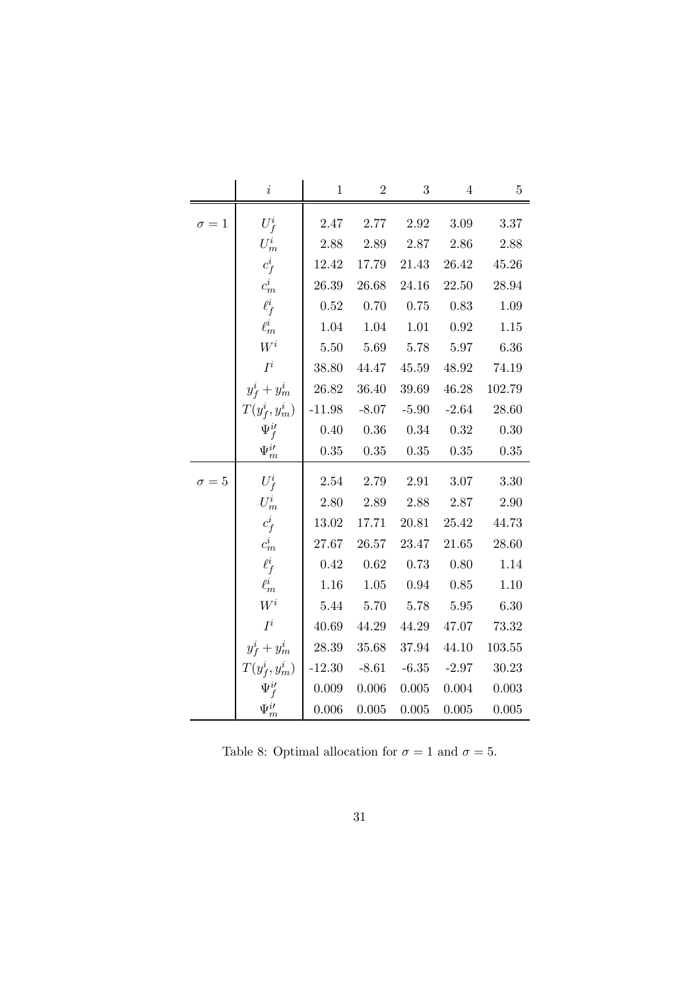|              | $\it i$            | $\mathbf{1}$ | $\overline{2}$           | $\sqrt{3}$     | $\overline{4}$     | $\bf 5$   |
|--------------|--------------------|--------------|--------------------------|----------------|--------------------|-----------|
| $\sigma = 1$ | $U_f^i$            | $2.47\,$     | $2.77\,$                 | $2.92\,$       | $3.09\,$           | 3.37      |
|              | $U_m^i$            | 2.88         | 2.89 2.87                |                | 2.86               | 2.88      |
|              | $c_f^i$            |              | 12.42 17.79              | 21.43          | 26.42              | 45.26     |
|              | $c_m^i$            | 26.39        | 26.68                    | 24.16          | $22.50\,$          | 28.94     |
|              | $\ell_f^i$         | $0.52\,$     | 0.70                     | 0.75           | 0.83               | 1.09      |
|              | $\ell^i_m$         | 1.04         | 1.04                     | 1.01           | 0.92               | 1.15      |
|              | ${\cal W}^i$       | $5.50\,$     |                          | 5.69 5.78 5.97 |                    | 6.36      |
|              | $I^i$              |              | 38.80 44.47              |                | 45.59 48.92 74.19  |           |
|              | $y_f^i + y_m^i$    |              | 26.82 36.40              |                | 39.69 46.28 102.79 |           |
|              | $T(y_f^i, y_m^i)$  |              | $-11.98$ $-8.07$ $-5.90$ |                | $-2.64$            | 28.60     |
|              | $\Psi_f^{i\prime}$ | 0.40         | 0.36                     | 0.34           | 0.32               | 0.30      |
|              | $\Psi_m^{i\prime}$ | $0.35\,$     | $0.35\,$                 | 0.35           | $0.35\,$           | 0.35      |
| $\sigma = 5$ | $U_f^i$            | 2.54         | 2.79                     | $2.91\,$       | $3.07\,$           | 3.30      |
|              | $U_m^i$            | 2.80         | 2.89                     | 2.88           | 2.87               | 2.90      |
|              | $c_f^i$            |              | 13.02 17.71              | 20.81          | 25.42              | 44.73     |
|              | $c_m^i$            | 27.67        | 26.57                    | 23.47          | 21.65              | 28.60     |
|              | $\ell_f^i$         | 0.42         | 0.62                     | 0.73           | 0.80               | 1.14      |
|              | $\ell^i_m$         | 1.16         | 1.05                     | 0.94           | 0.85               | 1.10      |
|              | ${\cal W}^i$       | 5.44         | 5.70 5.78                |                | 5.95               | 6.30      |
|              | $I^i$              | 40.69        | 44.29                    | 44.29          | 47.07              | 73.32     |
|              | $y_f^i + y_m^i$    | 28.39        | 35.68                    | 37.94          | 44.10              | 103.55    |
|              | $T(y_f^i, y_m^i)$  | $-12.30$     | $-8.61$                  | $-6.35$        | $-2.97$            | $30.23\,$ |
|              |                    | 0.009        | $0.006\,$                | $0.005\,$      | $0.004\,$          | 0.003     |
|              | $\Psi_m^{i\prime}$ | 0.006        | 0.005                    | $0.005\,$      | $0.005\,$          | 0.005     |

Table 8: Optimal allocation for  $\sigma = 1$  and  $\sigma = 5$ .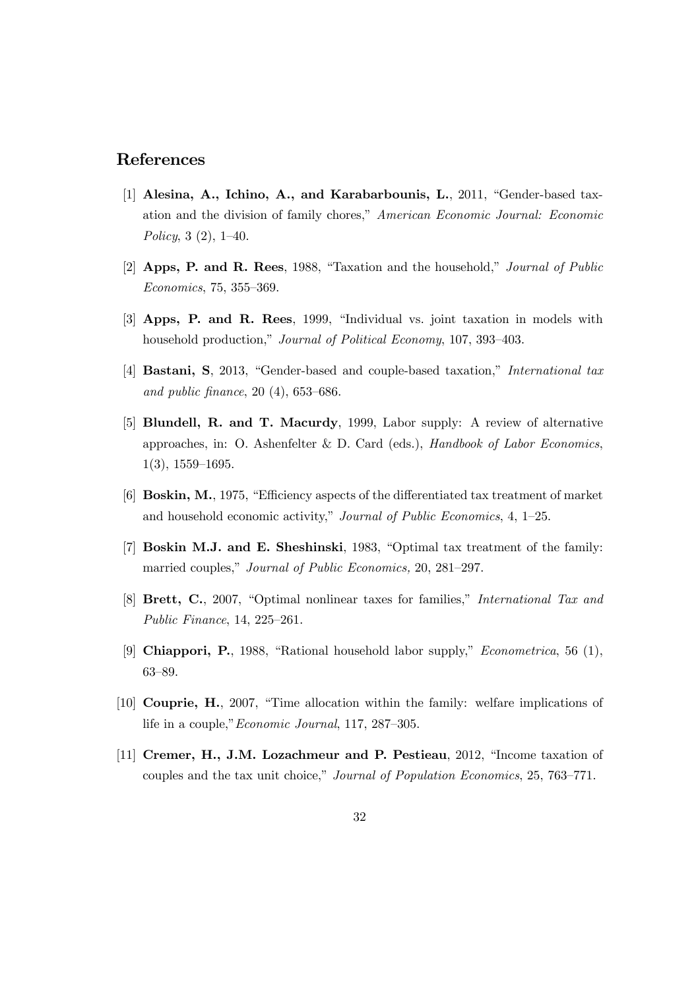### References

- [1] Alesina, A., Ichino, A., and Karabarbounis, L., 2011, "Gender-based taxation and the division of family chores," American Economic Journal: Economic Policy, 3 (2), 1—40.
- [2] Apps, P. and R. Rees, 1988, "Taxation and the household," Journal of Public Economics, 75, 355—369.
- [3] Apps, P. and R. Rees, 1999, "Individual vs. joint taxation in models with household production," Journal of Political Economy, 107, 393—403.
- [4] **Bastani, S**, 2013, "Gender-based and couple-based taxation," *International tax* and public finance, 20 (4), 653—686.
- [5] Blundell, R. and T. Macurdy, 1999, Labor supply: A review of alternative approaches, in: O. Ashenfelter & D. Card (eds.), Handbook of Labor Economics, 1(3), 1559—1695.
- [6] Boskin, M., 1975, "Efficiency aspects of the differentiated tax treatment of market and household economic activity," Journal of Public Economics, 4, 1—25.
- [7] Boskin M.J. and E. Sheshinski, 1983, "Optimal tax treatment of the family: married couples," Journal of Public Economics, 20, 281—297.
- [8] Brett, C., 2007, "Optimal nonlinear taxes for families," International Tax and Public Finance, 14, 225—261.
- [9] Chiappori, P., 1988, "Rational household labor supply," Econometrica, 56 (1), 63—89.
- [10] Couprie, H., 2007, "Time allocation within the family: welfare implications of life in a couple,"Economic Journal, 117, 287—305.
- [11] Cremer, H., J.M. Lozachmeur and P. Pestieau, 2012, "Income taxation of couples and the tax unit choice," Journal of Population Economics, 25, 763—771.